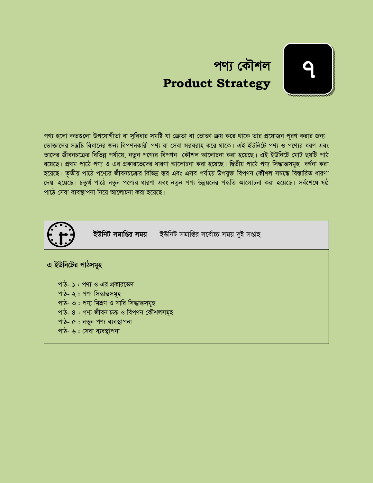

পণ্য হলো কতগুলো উপযোগীতা বা সুবিধার সমষ্টি যা ক্রেতা বা ভোক্তা ক্রয় করে থাকে তার প্রয়োজন পূরণ করার জন্য। *†fv³v‡`i mš'wó weav‡bi Rb¨ wecYbKvix cY¨ ev †mev mieivn K‡i \_v‡K| GB BDwb‡U cY¨ I c‡Y¨i aiY Ges Zv‡`i RxebP‡µi wewfbœ ch©v‡q, bZzb c‡Y¨i wecYb †KŠkj Av‡jvPbv Kiv n‡q‡Q| GB BDwb‡U †gvU QqwU cvV i* রয়েছে। প্রথম পাঠে পণ্য ও এর প্রকারভেদের ধারণা আলোচনা করা হয়েছে। দ্বিতীয় পাঠে পণ্য সিদ্ধান্তসমূহ বর্ণনা করা *হ*য়েছে। তৃতীয় পাঠে পণ্যের জীবনচক্রের বিভিন্ন স্তর এবং এসব পর্যায়ে উপযুক্ত বিপণন কৌশল সম্বন্ধে বিস্তারিত ধারণা *†`qv n‡q‡Q| PZz\_© cv‡V bZzb c‡Y¨i aviYv Ges bZzb cY¨ Dbœq‡bi c×wZ Av‡jvPbv Kiv n‡q‡Q| me©‡k‡l lô cv‡V †mev e¨e¯'vcbv wb‡q Av‡jvPbv Kiv n‡q‡Q|* 

|                   | ইউনিট সমাপ্তির সময়                                                                                                                                                                                             | ইউনিট সমাপ্তির সর্বোচ্চ সময় দুই সপ্তাহ |  |  |  |
|-------------------|-----------------------------------------------------------------------------------------------------------------------------------------------------------------------------------------------------------------|-----------------------------------------|--|--|--|
| এ ইউনিটের পাঠসমূহ |                                                                                                                                                                                                                 |                                         |  |  |  |
|                   | পাঠ- ১: পণ্য ও এর প্রকারভেদ<br>পাঠ- ২: পণ্য সিদ্ধান্তসমূহ<br>পাঠ- ৩: পণ্য মিশ্রণ ও সারি সিদ্ধান্তসমূহ<br>পাঠ- ৪: পণ্য জীবন চক্ৰ ও বিপণন কৌশলসমূহ<br>পাঠ- ৫ : নতুন পণ্য ব্যবস্থাপনা<br>পাঠ- ৬ : সেবা ব্যবস্থাপনা |                                         |  |  |  |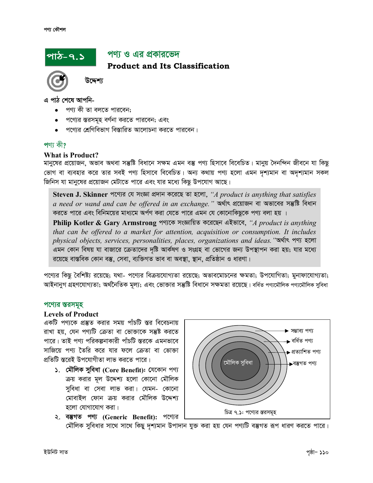# <u> পাঠ-৭.১'</u>

# পণ্য ও এর প্রকারভেদ

**Product and Its Classification** 



উদ্দেশ্য

এ পাঠ শেষে আপনি-

- পণ্য কী তা বলতে পারবেন:
- পণ্যের স্তরসমূহ বর্ণনা করতে পারবেন; এবং
- পণ্যের শ্রেণিবিভাগ বিস্তারিত আলোচনা করতে পারবেন।

#### পণ্য কী?

#### **What is Product?**

মানুষের প্রয়োজন, অভাব অথবা সম্ভ্রষ্টি বিধানে সক্ষম এমন বস্তু পণ্য হিসাবে বিবেচিত। মানুয় দৈনন্দিন জীবনে যা কিছু ভোগ বা ব্যবহার করে তার সবই পণ্য হিসাবে বিবেচিত। অন্য কথায় পণ্য হলো এমন দৃশ্যমান বা অদৃশ্যমান সকল জিনিস যা মানুষের প্রয়োজন মেটাতে পারে এবং যার মধ্যে কিছু উপযোগ আছে।

Steven J. Skinner পণ্যের যে সংজ্ঞা প্রদান করেছে তা হলো, "A product is anything that satisfies a need or wand and can be offered in an exchange." অৰ্থাৎ প্ৰয়োজন বা অভাবের সম্ভুষ্টি বিধান করতে পারে এবং বিনিময়ের মাধ্যমে অর্পণ করা যেতে পারে এমন যে কোনোকিছুকে পণ্য বলা হয় ।

Philip Kotler & Gary Armstrong পণ্যকে সংজ্ঞায়িত করেছেন এইভাবে, "A product is anything that can be offered to a market for attention, acquisition or consumption. It includes physical objects, services, personalities, places, organizations and ideas. "অৰ্থাৎ পণ্য হলো এমন কোন বিষয় যা বাজারে ক্রেতাদের দৃষ্টি আর্কষণ ও সংগ্রহ বা ভোগের জন্য উপস্থাপন করা হয়; যার মধ্যে রয়েছে বাস্তবিক কোন বস্তু, সেবা, ব্যক্তিগত ভাব বা অবস্থা, স্থান, প্রতিষ্ঠান ও ধারণা।

পণ্যের কিছু বৈশিষ্ট্য রয়েছে; যথা- পণ্যের বিক্রয়যোগ্যতা রয়েছে; অভাবমোচনের ক্ষমতা; উপযোগিতা; মুনাফাযোগ্যতা; আইনানুগ গ্রহণযোগ্যতা; অর্থনৈতিক মূল্য; এবং ভোক্তার সম্ভুষ্টি বিধানে সক্ষমতা রয়েছে। বর্ধিত পণ্যমৌলিক পণ্যমৌলিক সুবিধা

#### পণ্যের স্তরসমূহ

#### **Levels of Product**

একটি পণ্যকে প্রস্তুত করার সময় পাঁচটি স্তর বিবেচনায় রাখা হয়, যেন পণ্যটি ক্রেতা বা ভোক্তাকে সম্ভষ্ট করতে পারে। তাই পণ্য পরিকল্পনাকারী পাঁচটি স্তরকে এমনভাবে সাজিয়ে পণ্য তৈরি করে যার ফলে ক্রেতা বা ভোক্তা প্রতিটি স্তরেই উপযোগীতা লাভ করতে পারে।

১. মৌলিক সুবিধা (Core Benefit): যেকোন পণ্য ক্রয় করার মূল উদ্দেশ্য হলো কোনো মৌলিক সুবিধা বা সেবা লাভ করা। যেমন- কোনো মোবাইল ফোন ক্রয় করার মৌলিক উদ্দেশ্য হলো যোগাযোগ করা।

২. বম্ভগত পণ্য (Generic Benefit): পণ্যের



মৌলিক সুবিধার সাথে সাথে কিছু দৃশ্যমান উপাদান যুক্ত করা হয় যেন পণ্যটি বস্তুগত রূপ ধারণ করতে পারে।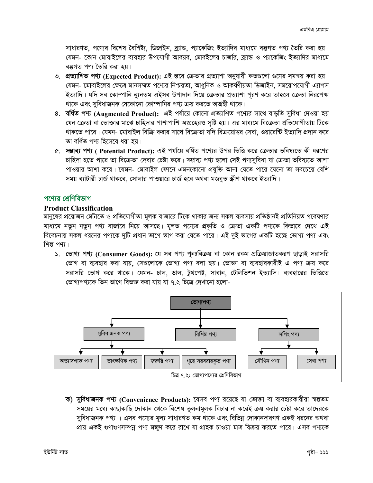সাধারণত, পণ্যের বিশেষ বৈশিষ্ট্য, ডিজাইন, ব্র্যান্ড, প্যাকেজিং ইত্যাদির মাধ্যমে বস্তুগত পণ্য তৈরি করা হয়। যেমন- কোন মোবাইলের ব্যবহার উপযোগী আবয়ব, মোবইলের চার্জার, ব্র্যান্ড ও প্যাকেজিং ইত্যাদির মাধ্যমে বম্ভ্রগত পণ্য তৈরি করা হয়।

- ৩. প্রত্যাশিত পণ্য (Expected Product): এই স্তরে ক্রেতার প্রত্যাশা অনুযায়ী কতগুলো গুণের সমন্বয় করা হয়। যেমন- মোবাইলের ক্ষেত্রে মানসম্মত পণ্যের নিশ্চয়তা, আধুনিক ও আকর্ষণীয়তা ডিজাইন, সময়োপযোগী এ্যাপস ইত্যাদি। যদি সব কোম্পানি ন্যুনতম এইসব উপাদান দিয়ে ক্রেতার প্রত্যাশা পুরণ করে তাহলে ক্রেতা নিরপেক্ষ থাকে এবং সুবিধাজনক যেকোনো কোম্পানির পণ্য ক্রয় করতে আগ্রহী থাকে।
- ৪. বর্ধিত পণ্য (Augmented Product): এই পর্যায়ে কোনো প্রত্যাশিত পণ্যের সাথে বাড়তি সুবিধা দেওয়া হয় যেন ক্রেতা বা ভোক্তার মাঝে চাহিদার পাশাপাশি আগ্রহেরও সৃষ্টি হয়। এর মাধ্যমে বিক্রেতা প্রতিযোগীতায় টিকে থাকতে পারে। যেমন- মোবাইল বিক্রি করার সাথে বিক্রেতা যদি বিক্রয়োত্তর সেবা, ওয়ারেন্টি ইত্যাদি প্রদান করে তা বৰ্ধিত পণ্য হিসেবে ধরা হয়।
- ৫. সম্ভাব্য পণ্য ( Potential Product): এই পর্যায়ে বর্ধিত পণ্যের উপর ভিত্তি করে ক্রেতার ভবিষ্যতে কী ধরণের চাহিদা হতে পারে তা বিক্রেতা দেবার চেষ্টা করে। সম্ভাব্য পণ্য হলো সেই পণ্যসুবিধা যা ক্রেতা ভবিষ্যতে আশা পাওয়ার আশা করে। যেমন- মোবাইল ফোনে এমনকোনো প্রযুক্তি আনা যেতে পারে যেনো তা সবচেয়ে বেশি সময় ব্যাটারী চার্জ থাকবে, সোলার পাওয়ারে চার্জ হবে অথবা মজবত স্ক্রীণ থাকবে ইত্যাদি।

# পণের শ্রেণিবিভাগ

#### **Product Classification**

মানুষের প্রয়োজন মেটাতে ও প্রতিযোগীতা মূলক বাজারে টিকে থাকার জন্য সকল ব্যবসায় প্রতিষ্ঠানই প্রতিনিয়ত গবেষণার মাধ্যমে নতুন নতুন পণ্য বাজারে নিয়ে আসছে। মূলত পণ্যের প্রকৃতি ও ক্রেতা একটি পণ্যকে কিভাবে দেখে এই বিবেচনায় সকল ধরনের পণ্যকে দুটি প্রধান ভাগে ভাগ করা যেতে পারে। এই দুই ভাগের একটি হচ্ছে ভোগ্য পণ্য এবং শিল্প পণ্য।

১. ভোগ্য পণ্য (Consumer Goods): যে সব পণ্য পুনঃবিক্রয় বা কোন রকম প্রক্রিয়াজাতকরণ ছাড়াই সরাসরি ভোগ বা ব্যবহার করা যায়, সেগুলোকে ভোগ্য পণ্য বলা হয়। ভোক্তা বা ব্যবহারকারীই এ পণ্য ক্রয় করে সরাসরি ভোগ করে থাকে। যেমন- চাল, ডাল, টুথপেষ্ট, সাবান, টেলিভিশন ইত্যাদি। ব্যবহারের ভিত্তিতে ভোগ্যপণকে তিন ভাগে বিভক্ত করা যায় যা ৭ ২ চিত্রে দেখানো হলো-



ক) সুবিধাজনক পণ্য (Convenience Products): যেসব পণ্য রয়েছে যা ভোক্তা বা ব্যবহারকারীরা স্বল্পতম সময়ের মধ্যে কাছাকাছি দোকান থেকে বিশেষ তুলনামূলক বিচার না করেই ক্রয় করার চেষ্টা করে তাদেরকে সুবিধাজনক পণ্য । এসব পণ্যের মূল্য সাধারণত কম থাকে এবং বিভিন্ন দোকানদারগণ একই ধরনের অথবা প্রায় একই গুণাগুণসম্পন্ন পণ্য মজুদ করে রাখে যা গ্রাহক চাওয়া মাত্র বিক্রয় করতে পারে। এসব পণ্যকে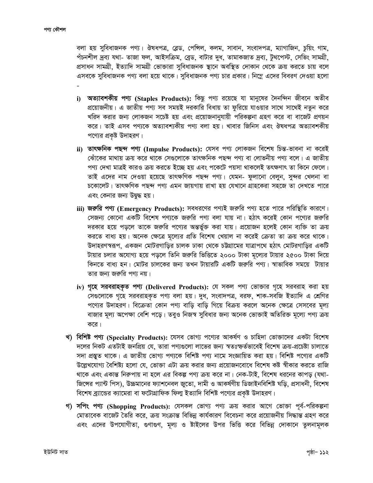বলা হয় সুবিধাজনক পণ্য। ঔষধপত্র, ব্লেড, পেন্সিল, কলম, সাবান, সংবাদপত্র, ম্যাগাজিন, চুয়িং গাম, পঁচনশীল দ্ৰব্য যথা- তাজা ফল, আইসক্ৰিম, ব্ৰেড, বাটার দুধ, তামাকজাত দ্ৰব্য, টুথপেস্ট, সেভিং সামগ্ৰী, প্রসাধন সামগ্রী, ইত্যাদি সামগ্রী ভোক্তারা সুবিধাজনক স্থানে অবস্থিত দোকান থেকে ক্রয় করতে চায় বলে এসবকে সুবিধাজনক পণ্য বলা হয়ে থাকে। সুবিধাজনক পণ্য চার প্রকার। নিম্নে এদের বিবরণ দেওয়া হলো

- i) অত্যাবশকীয় পণ্য (Staples Products): কিছু পণ্য রয়েছে যা মানুষের দৈনন্দিন জীবনে অতীব প্রয়োজনীয়। এ জাতীয় পণ্য সব সময়ই দরকারি বিধায় তা ফুরিয়ে যাওয়ার সাথে সাথেই নতুন করে খরিদ করার জন্য লোকজন সচেষ্ট হয় এবং প্রয়োজনানুযায়ী পরিকল্পনা গ্রহণ করে বা বাজেট প্রণয়ন করে। তাই এসব পণ্যকে অত্যাবশ্যকীয় পণ্য বলা হয়। খাবার জিনিস এবং ঔষধপত্র অত্যাবশকীয় পণ্যের প্রকৃষ্ট উদাহরণ।
- ii) তাৎক্ষনিক পছন্দ পণ্য (Impulse Products): যেসব পণ্য লোকজন বিশেষ চিন্ত-ভাবনা না করেই ঝোঁকের মাথায় ক্রয় করে থাকে সেগুলোকে তাৎক্ষনিক পছন্দ পণ্য বা লোভনীয় পণ্য বলে। এ জাতীয় পণ্য দেখা মাত্রই কারও ক্রয় করতে ইচ্ছে হয় এবং পকেটে পয়সা থাকলেই তৎক্ষণাৎ তা কিনে ফেলে। তাই এদের নাম দেওয়া হয়েছে তাৎক্ষণিক পছন্দ পণ্য। যেমন- ফুলানো বেলুন, সুন্দর খেলনা বা চকোলেট। তাৎক্ষণিক পছন্দ পণ্য এমন জায়গায় রাখা হয় যেখানে গ্রাহকেরা সহজে তা দেখতে পারে এবং কেনার জন্য উদ্বদ্ধ হয়।
- iii) **জরুরি পণ্য (Emergency Products):** সবধরণের পণ্যই জরুরি পণ্য হতে পারে পরিস্থিতি কারণে। সেজন্য কোনো একটি বিশেষ পণ্যকে জরুরি পণ্য বলা যায় না। হঠাৎ করেই কোন পণ্যের জরুরি দরকার হয়ে পড়লে তাকে জরুরি পণ্যের অন্তর্ভুক্ত করা যায়। প্রয়োজন হলেই কোন ব্যক্তি তা ক্রয় করতে বাধ্য হয়। অনেক ক্ষেত্রে মূল্যের প্রতি বিশেষ খেয়াল না করেই ক্রেতা তা ক্রয় করে থাকে। উদাহরণস্বরূপ, একজন মোটরগাড়ির চালক ঢাকা থেকে চট্টগ্রামের যাত্রাপথে হঠাৎ মোটরগাড়ির একটি টায়ার চলার অযোগ্য হয়ে পড়লে তিনি জরুরি ভিত্তিতে ২০০০ টাকা মূল্যের টায়ার ২৫০০ টাকা দিয়ে কিনতে বাধ্য হন। মোটর চালকের জন্য তখন টায়ারটি একটি জরুরি পণ্য। স্বাভাবিক সময়ে টায়ার তার জন্য জরুরি পণ্য নয়।
- iv) গৃহে সরবরাহকৃত পণ্য (Delivered Products): যে সকল পণ্য ভোক্তার গৃহে সরবরাহ করা হয় সেগুলোকে গৃহে সরবরাহকৃত পণ্য বলা হয়। দুধ, সংবাদপত্র, বরফ, শাক-সবজি ইত্যাদি এ শ্রেণির পণ্যের উদাহরণ। বিক্রেতা কোন পণ্য বাড়ি বাড়ি গিয়ে বিক্রয় করলে অনেক ক্ষেত্রে সেসবের মূল্য বাজার মূল্য অপেক্ষা বেশি পড়ে। তবুও নিজস্ব সুবিধার জন্য অনেক ভোক্তাই অতিরিক্ত মূল্যে পণ্য ক্রয় করে।
- খ) বিশিষ্ট পণ্য (Specialty Products): যেসব ভোগ্য পণ্যের আকর্ষণ ও চাহিদা ভোক্তাদের একটা বিশেষ দলের নিকট এতটাই জনপ্রিয় যে, তারা পণ্যগুলো লাভের জন্য স্বতঃস্ফর্তভাবেই বিশেষ ক্রয়-প্রচেষ্টা চালাতে সদা প্রস্তুত থাকে। এ জাতীয় ভোগ্য পণ্যকে বিশিষ্ট পণ্য নামে সংজ্ঞায়িত করা হয়। বিশিষ্ট পণ্যের একটি উল্লেখযোগ্য বৈশিষ্ট্য হলো যে, ভোক্তা এটা ক্রয় করার জন্য প্রয়োজনবোধে বিশেষ কষ্ট স্বীকার করতে রাজি থাকে এবং একান্ত নিরুপায় না হলে এর বিকল্প পণ্য ক্রয় করে না। নেক-টাই, বিশেষ ধরনের কাপড় (যথা-জিঙ্গের প্যান্ট পিস), উচ্চমানের ফ্যাশনেবল জ্রতো, দামী ও আকর্ষণীয় ডিজাইনবিশিষ্ট ঘড়ি, প্রসাধনী, বিশেষ বিশেষ ব্র্যান্ডের ক্যামেরা বা ফটোগ্রাফিক ফিল্ম ইত্যাদি বিশিষ্ট পণ্যের প্রকৃষ্ট উদাহরণ।
- গ) সপিং পণ্য (Shopping Products): যেসকল ভোগ্য পণ্য ক্ৰয় করার আগে ভোক্তা পূর্ব-পরিকল্পনা মোতাবেক বাজেট তৈরি করে, ক্রয় সংক্রান্ত বিভিন্ন কার্যকারণ বিবেচনা করে প্রয়োজনীয় সিদ্ধান্ত গ্রহণ করে এবং এদের উপযোগীতা, গুণাগুণ, মূল্য ও ষ্টাইলের উপর ভিত্তি করে বিভিন্ন দোকানে তুলনামূলক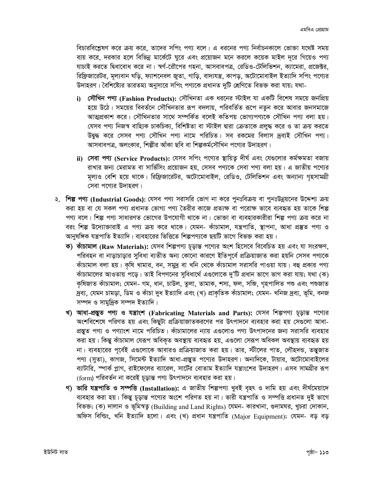বিচারবিশ্লেষণ করে ক্রয় করে, তাদের সপিং পণ্য বলে। এ ধরনের পণ্য নির্বাচনকালে ভোক্তা যথেষ্ট সময় ব্যয় করে, দরকার হলে বিভিন্ন মার্কেটে ঘুরে এবং প্রয়োজন মনে করলে কয়েক মাইল দূরে গিয়েও পণ্য যাচাই করতে দ্বিধাবোধ করে না। স্বর্ণ-রৌপের গহনা, আসবাবপত্র, রেডিও-টেলিভিশন, ক্যামেরা, প্রজেক্টর, রিফ্রিজারেটর, মূল্যবান ঘড়ি, ফ্যাশনেবল জুতা, গাড়ি, বাদ্যযন্ত্র, কাপড়, অটোমোবাইল ইত্যাদি সপিং পণ্যের উদাহরণ। বৈশিষ্ট্যের তারতম্য অনুসারে সপিং পণ্যকে প্রধানত দুটি শ্রেণিতে বিভক্ত করা যায়; যথা-

- i) সৌখিন পণ্য (Fashion Products): সৌখিনতা এক ধরনের স্টাইল যা একটি বিশেষ সময়ে জনপ্রিয় হয়ে উঠে। সময়ের বিবর্তনে সৌখিনতার রূপ বদলায়, পরিবর্তিত রূপে নতুন করে আবার জনসমাজে আত্মপ্রকাশ করে। সৌখিনতার সাথে সম্পর্কিত বলেই কতিপয় ভোগ্যপণ্যকে সৌখিন পণ্য বলা হয়। যেসব পণ্য নিজস্ব বাহ্যিক চাকচিক্য, বিশিষ্টতা বা স্টাইল দ্বারা ক্রেতাকে প্রলুদ্ধ করে ও তা ক্রয় করতে উদ্বদ্ধ করে সেসব পণ্য সৌখিন পণ্য নামে পরিচিত। সব রকমের বিলাস দ্রব্যই সৌখিন পণ্য। আসবাবপত্র, অলংকার, শিল্পীর আঁকা ছবি বা শিল্পকর্মসৌখিন পণ্যের উদাহরণ।
- ii) সেবা পণ্য (Service Products): যেসব সপিং পণ্যের স্থায়িতু দীর্ঘ এবং যেগুলোর কর্মক্ষমতা বজায় রাখার জন্য মেরামত বা সার্ভিসিং প্রয়োজন হয়, সেসব পণ্যকে সেবা পণ্য বলা হয়। এ জাতীয় পণ্যের মূল্যও বেশি হয়ে থাকে। রিফ্রিজারেটর, অটোমোবাইল, রেডিও, টেলিভিশন এবং অন্যান্য গৃহসামগ্রী সেবা পণেরে উদাহরণ।
- ২. শিল্প পণ্য (Industrial Goods): যেসব পণ্য সরাসরি ভোগ না করে পুনঃবিক্রয় বা পুনঃউন্নয়নের উদ্দেশ্য ক্রয় করা হয় বা যে সকল পণ্য প্রধানত ভোগ্য পণ্য তৈরীর কাজে প্রত্যক্ষ বা পরোক্ষ ভাবে ব্যবহৃত হয় তাকে শিল্প পণ্য বলে। শিল্প পণ্য সাধারণত ভোগের উপযোগী থাকে না। ভোক্তা বা ব্যবহারকারীরা শিল্প পণ্য ক্রয় করে না বরং শিল্প উদ্যোক্তারাই এ পণ্য ক্রয় করে থাকে। যেমন- কাঁচামাল, যন্ত্রপাতি, স্থাপনা, আধা প্রস্তুত পণ্য ও আনুষঙ্গিক যন্ত্রপাতি ইত্যাদি। ব্যবহারের ভিত্তিতে শিল্পপণ্যকে ছয়টি ভাগে বিভক্ত করা হয় :
	- ক) কাঁচামাল (Raw Materials): যেসব শিল্পপণ্য চূড়ান্ত পণ্যের অংশ হিসেবে বিবেচিত হয় এবং যা সংরক্ষণ, পরিবহন বা নাড়াচাড়ার সুবিধা ব্যতীত অন্য কোনো কারণে ইতিপূর্বে প্রক্রিয়াজাত করা হয়নি সেসব পণ্যকে কাঁচামাল বলা হয়। কৃষি খামার, বন, সমুদ্র বা খনি থেকে কাঁচামাল সরাসরি পাওয়া যায়। বহু প্রকার পণ্য কাঁচামালের আওতায় পড়ে। তাই বিপণনের সুবিধার্থে এগুলোকে দু'টি প্রধান ভাগে ভাগ করা যায়; যথা (ক) কৃষিজাত কাঁচামাল; যেমন- গম, ধান, চাউল, তুলা, তামাক, শস্য, ফল, সজি, গৃহপালিত পশু এবং পশুজাত দ্রব্য, যেমন চামড়া, ডিম ও কাঁচা দুধ ইত্যাদি এবং (খ) প্রাকৃতিক কাঁচামাল; যেমন- খনিজ দ্রব্য, ভূমি, বনজ সম্পদ ও সামুদ্রিক সম্পদ ইত্যাদি।
	- খ) আধা-প্ৰস্তুত পণ্য ও যন্ত্ৰাংশ (Fabricating Materials and Parts): যেসব শিল্পণ্য চূড়ান্ত পণ্যের অংশবিশেষে পরিণত হয় এবং কিছুটা প্রক্রিয়াজাতকরণের পর উৎপাদনে ব্যবহার করা হয় সেগুলো আধা-প্রস্তুত পণ্য ও পণ্যাংশ নামে পরিচিত। কাঁচামালের ন্যায় এগুলোও পণ্য উৎপাদনের জন্য সরাসরি ব্যবহার করা হয়। কিন্তু কাঁচামাল যেরূপ অবিকৃত অবস্থায় ব্যবহৃত হয়, এগুলো সেরূপ অবিকল অবস্থায় ব্যবহৃত হয় না। ব্যবহারের পূর্বেই এগুলোকে আবারও প্রক্রিয়াজাত করা হয়। তার, স্টীলের পাত, লৌহদন্ড, তন্তুজাত পণ্য (সুতা), কাগজ, সিমেন্ট ইত্যাদি আধা-প্রস্তুত পণ্যের উদাহরণ। অন্যদিকে, টায়ার, অটোমোবাইলের ব্যাটারি, স্পার্ক প্লাগ, রাইফেলের ব্যারেল, সার্টের বোতাম ইত্যাদি যন্ত্রাংশের উদাহরণ। এসব সামগ্রীর রূপ (form) পরিবর্তন না করেই চূড়ান্ত পণ্য উৎপাদনে ব্যবহার করা হয়।
	- গ) ভারি যন্ত্রপাতি ও সম্পত্তি (Installation): এ জাতীয় শিল্পপণ্য খুবই বৃহৎ ও দামি হয় এবং দীর্ঘমেয়াদে ব্যবহার করা হয়। কিন্তু চূড়ান্ত পণ্যের অংশে পরিণত হয় না। ভারী যন্ত্রপাতি ও সম্পত্তি প্রধানত দুই ভাগে বিভক্ত; (ক) দালান ও ভূমিস্বত্ব (Building and Land Rights) যেমন- কারখানা, গুদামঘর, খুচরা দোকান, অফিস বিল্ডিং, খনি ইত্যাদি হলো। এবং (খ) প্ৰধান যন্ত্ৰপাতি (Major Equipment); যেমন- বড় বড়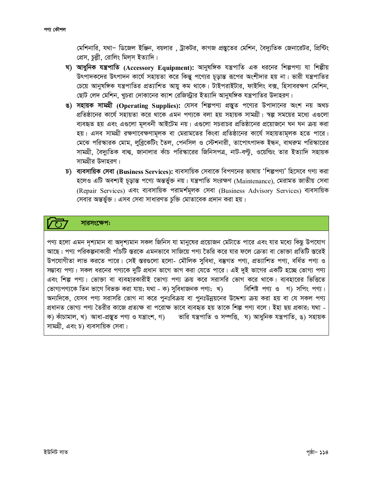মেশিনারি, যথা- ডিজেল ইঞ্জিন, বয়লার , ট্রাকটর, কাগজ প্রস্তুতের মেশিন, বৈদ্যুতিক জেনারেটর, প্রিন্টিং প্রেস, চুল্লী, রোলিং মিল্স ইত্যাদি।

- ঘ) আধুনিক যন্ত্রপাতি (Accessory Equipment): আনুষঙ্গিক যন্ত্রপাতি এক ধরনের শিল্পপ্য যা শিল্পীয় উৎপাদকদের উৎপাদন কার্যে সহায়তা করে কিন্তু পণ্যের চূড়ান্ত রূপের অংশীদার হয় না। ভারী যন্ত্রপাতির চেয়ে আনুষঙ্গিক যন্ত্রপাতির প্রত্যাশিত আয়ু কম থাকে। টাইপরাইটার, ফাইলিং বক্স, হিসাবরক্ষণ মেশিন, ছোট লেদ মেশিন, খুচরা দোকানের ক্যাশ রেজিস্ট্রার ইত্যাদি আনুষঙ্গিক যন্ত্রপাতির উদাহরণ।
- ঙ) সহায়ক সামগ্ৰী (Operating Supplies): যেসব শিল্পপণ্য প্ৰস্তুত পণ্যের উপাদানের অংশ নয় অথচ প্রতিষ্ঠানের কার্যে সহায়তা করে থাকে এমন পণ্যকে বলা হয় সহায়ক সামগ্রী। স্বল্প সময়ের মধ্যে এগুলো ব্যবহৃত হয় এবং এগুলো মূলধনী আইটেম নয়। এগুলো সচরাচর প্রতিষ্ঠানের প্রয়োজনে ঘন ঘন ক্রয় করা হয়। এসব সামগ্রী রক্ষণাবেক্ষণামূলক বা মেরামতের কিংবা প্রতিষ্ঠানের কার্যে সহায়তামূলক হতে পারে। মেঝে পরিস্কারক মোম, লুব্রিকেটিং তৈল, পেনসিল ও স্টেশনারী, তাপোৎপাদক ইন্ধন, বাথরুম পরিস্কারের সামগ্রী, বৈদ্যুতিক বাল্ব, জানালার কাঁচ পরিস্কারের জিনিসপত্র, নাট-বল্টু, ওয়েল্ডিং তার ইত্যাদি সহায়ক সামগ্রীর উদাহরণ।
- $\bar{b}$ ) ব্যবসায়িক সেবা (Business Services): ব্যবসায়িক সেবাকে বিপণনের ভাষায় 'শিল্পপণ্য' হিসেবে গণ্য করা হলেও এটি অবশ্যই চূড়ান্ত পণ্যে অন্তৰ্ভুক্ত নয়। যন্ত্ৰপাতি সংরক্ষণ (Maintenance), মেরামত জাতীয় সেবা (Repair Services) এবং ব্যবসায়িক পরামর্শমূলক সেবা (Business Advisory Services) ব্যবসায়িক সেবার অন্তর্ভুক্ত। এসব সেবা সাধারণত চুক্তি মোতাবেক প্রদান করা হয়।

# সারসংক্ষেপ:

পণ্য হলো এমন দশ্যমান বা অদশ্যমান সকল জিনিস যা মানুষের প্রয়োজন মেটাতে পারে এবং যার মধ্যে কিছু উপযোগ আছে। পণ্য পরিকল্পনাকারী পাঁচটি স্তরকে এমনভাবে সাজিয়ে পণ্য তৈরি করে যার ফলে ক্রেতা বা ভোক্তা প্রতিটি স্তরেই উপযোগীতা লাভ করতে পারে। সেই স্তরগুলো হলো- মৌলিক সুবিধা, বম্ভগত পণ্য, প্রত্যাশিত পণ্য, বর্ধিত পণ্য ও সম্ভাব্য পণ্য। সকল ধরনের পণ্যকে দুটি প্রধান ভাগে ভাগ করা যেতে পারে। এই দুই ভাগের একটি হচ্ছে ভোগ্য পণ্য এবং শিল্প পণ্য। ভোক্তা বা ব্যবহারকারীই ভোগ্য পণ্য ক্রয় করে সরাসরি ভোগ করে থাকে। ব্যবহারের ভিত্তিতে ভোগ্যপণ্যকে তিন ভাগে বিভক্ত করা যায়; যথা - ক) সুবিধাজনক পণ্য; খ) বিশিষ্ট পণ্য ও গ) সপিং পণ্য। অন্যদিকে, যেসব পণ্য সরাসরি ভোগ না করে পুনঃবিক্রয় বা পুনঃউন্নয়নের উদ্দেশ্য ক্রয় করা হয় বা যে সকল পণ্য প্রধানত ভোগ্য পণ্য তৈরীর কাজে প্রত্যক্ষ বা পরোক্ষ ভাবে ব্যবহৃত হয় তাকে শিল্প পণ্য বলে। ইহা ছয় প্রকার; যথা -ভারি যন্ত্রপাতি ও সম্পত্তি, ঘ) আধুনিক যন্ত্রপাতি, ঙ) সহায়ক ক) কাঁচামাল, খ) আধা-প্ৰস্তুত পণ্য ও যন্ত্ৰাংশ, গ) সামগ্ৰী, এবং চ) ব্যবসায়িক সেবা।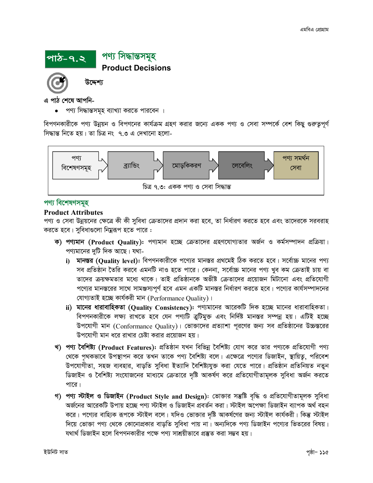

এ পাঠ শেষে আপনি-

পণ্য সিদ্ধান্তসমূহ ব্যাখ্যা করতে পারবেন ।

বিপণনকারীকে পণ্য উন্নয়ন ও বিপণনের কার্যক্রম গ্রহণ করার জন্যে একক পণ্য ও সেবা সম্পর্কে বেশ কিছু গুরুত্বপূর্ণ সিদ্ধান্ত নিতে হয়। তা চিত্র নং ৭.৩ এ দেখানো হলো-



# পণ্য বিশেষণসমহ

#### **Product Attributes**

পণ্য ও সেবা উন্নয়নের ক্ষেত্রে কী কী সুবিধা ক্রেতাদের প্রদান করা হবে, তা নির্ধারণ করতে হবে এবং তাদেরকে সরবরাহ করতে হবে। সুবিধাগুলো নিম্নরূপ হতে পারে :

- ক) পণ্যমান (Product Quality): পণ্যমান হচ্ছে ক্রেতাদের গ্রহণযোগ্যতার অর্জন ও কর্মসম্পাদন প্রক্রিয়া। পণ্যমানের দুটি দিক আছে। যথা
	- i) মানস্তর (Quality level): বিপণনকারীকে পণ্যের মানস্তর প্রথমেই ঠিক করতে হবে। সর্বোচ্চ মানের পণ্য সব প্রতিষ্ঠান তৈরি করবে এমনটি নাও হতে পারে। কেননা, সর্বোচ্চ মানের পণ্য খুব কম ক্রেতাই চায় বা তাদের ক্রয়ক্ষমতার মধ্যে থাকে। তাই প্রতিষ্ঠানকে অভীষ্ট ক্রেতাদের প্রয়োজন মিটানো এবং প্রতিযোগী পণ্যের মানস্তরের সাথে সামঞ্জস্যপূর্ণ হবে এমন একটি মানস্তর নির্ধারণ করতে হবে। পণ্যের কার্যসম্পাদনের যোগ্যতাই হচ্ছে কাৰ্যকরী মান (Performance Ouality)।
	- ii) মানের ধারাবাহিকতা (Quality Consistency): পণ্যমানের আরেকটি দিক হচ্ছে মানের ধারাবাহিকতা। বিপণনকারীকে লক্ষ্য রাখতে হবে যেন পণ্যটি ত্রুটিমুক্ত এবং নির্দিষ্ট মানস্তর সম্পন্ন হয়। এটিই হচ্ছে উপযোগী মান (Conformance Quality)। ভোজাদের প্রত্যাশা পরণের জন্য সব প্রতিষ্ঠানের উচ্চস্তরের উপযোগী মান ধরে রাখার চেষ্টা করার প্রয়োজন হয়।
- খ) পণ্য বৈশিষ্ট্য (Product Features): প্রতিষ্ঠান যখন বিভিন্ন বৈশিষ্ট্য যোগ করে তার পণ্যকে প্রতিযোগী পণ্য থেকে পৃথকভাবে উপস্থাপন করে তখন তাকে পণ্য বৈশিষ্ট্য বলে। এক্ষেত্রে পণ্যের ডিজাইন, স্থায়িতু, পরিবেশ উপযোগীতা, সহজ ব্যবহার, বাড়তি সুবিধা ইত্যাদি বৈশিষ্ট্যযুক্ত করা যেতে পারে। প্রতিষ্ঠান প্রতিনিয়ত নতুন ডিজাইন ও বৈশিষ্ট্য সংযোজনের মাধ্যমে ক্রেতারে দৃষ্টি আকর্ষণ করে প্রতিযোগীতামূলক সুবিধা অর্জন করতে পারে।
- গ) পণ্য স্টাইল ও ডিজাইন (Product Style and Design): ভোক্তার সম্ভষ্টি বৃদ্ধি ও প্রতিযোগীতামূলক সুবিধা অৰ্জনের আরেকটি উপায় হচ্ছে পণ্য স্টাইল ও ডিজাইন প্রবর্তন করা। স্টাইল অপেক্ষা ডিজাইন ব্যাপক অর্থ বহন করে। পণ্যের বাহ্যিক রূপকে স্টাইল বলে। যদিও ভোক্তার দৃষ্টি আকর্ষণের জন্য স্টাইল কার্যকরী। কিন্তু স্টাইল দিয়ে ভোক্তা পণ্য থেকে কোনোপ্রকার বাড়তি সুবিধা পায় না। অন্যদিকে পণ্য ডিজাইন পণ্যের ভিতরের বিষয়। যথার্থ ডিজাইন হলে বিপণনকারীর পক্ষে পণ্য সাশ্রয়ীভাবে প্রস্তুত করা সম্ভব হয়।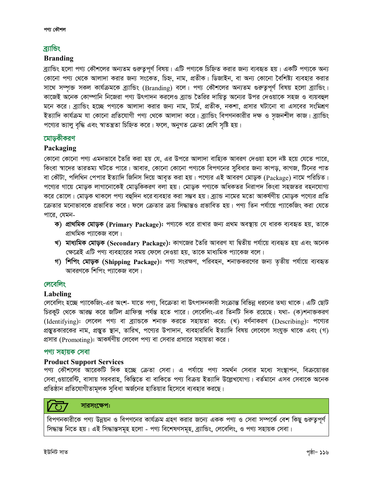# <u>ৰ্য্যান্ডিং</u>

#### **Branding**

*ব্র্যা*ভিং হলো পণ্য কৌশলের অন্যতম গুরুতুপূর্ণ বিষয়। এটি পণ্যকে চিহ্নিত করার জন্য ব্যবহৃত হয়। একটি পণ্যকে অন্য কোনো পণ্য থেকে আলাদা করার জন্য সংকেত, চিহ্ন, নাম, প্রতীক। ডিজাইন, বা অন্য কোনো বৈশিষ্ট্য ব্যবহার করার সাথে সম্পূক্ত সকল কার্যক্রমকে ব্র্যান্ডিং (Branding) বলে। পণ্য কৌশলের অন্যতম গুরুতুপূর্ণ বিষয় হলো ব্র্যান্ডিং। কাজেই অনেক কোম্পানি নিজেরা পণ্য উৎপাদন করলেও ব্র্যান্ড তৈরির দায়িত্ব অন্যের উপর দেওয়াকে সহজ ও ব্যয়বহুল মনে করে। ব্র্যান্ডিং হচ্ছে পণ্যকে আলাদা করার জন্য নাম, টার্ম, প্রতীক, নকশা, প্রসার ঘটানো বা এসবের সংমিশ্রণ ইত্যাদি কার্যক্রম যা কোনো প্রতিযোগী পণ্য থেকে আলাদা করে। ব্র্যান্ডিং বিপণনকারীর দক্ষ ও সজনশীল কাজ। ব্র্যান্ডিং  $r$ পণ্যের ভ্যালু বৃদ্ধি এবং স্বাতন্ত্রতা চিহ্নিত করে। ফলে, অনুগত ক্রেতা শ্রেণি সৃষ্টি হয়।

### *‡gvoKxKiY*

#### **Packaging**

*(কা*নো কোনো পণ্য এমনভাবে তৈরি করা হয় যে, এর উপরে আলাদা বাহ্যিক আবরণ দেওয়া হলে নষ্ট হয়ে যেতে পারে, কিংবা স্বাদের তারতম্য ঘটতে পারে। আবার, কোনো কোনো পণ্যকে বিপণনের সুবিধার জন্য কাপড়, কাগজ, টিনের পাত *বা কৌটা, পলিথিন পেপার ইত্যাদি জিনিস দি*য়ে আবৃত করা হয়। পণ্যের এই আবরণ মোড়ক (Package) নামে পরিচিত। পণ্যের গায়ে মোড়ক লাগানোকেই মোড়কিকরণ বলা হয়। মোড়ক পণ্যকে অধিকতর নিরাপদ কিংবা সহজতর বহনযোগ্য *ক*রে তোলে। মোড়ক থাকলে পণ্য বহুদিন ধরেব্যবহার করা সম্ভব হয়। ব্র্যান্ড নামের মতো আকর্ষণীয় মোড়ক পণ্যের প্রতি  $\tau$ ক্রতার মনোভাবকে প্রভাবিত করে। ফলে ক্রেতার ক্রয় সিদ্ধান্তও প্রভাবিত হয়। পণ্য তিন পর্যায়ে প্যাকেজিং করা যেতে পারে, যেমন-

- *ক*) প্রাথমিক মোড়ক (Primary Package): পণ্যকে ধরে রাখার জন্য প্রথম অবস্থায় যে ধারক ব্যবহৃত হয়, তাকে <u>প্ৰাথমিক প্যাকেজ বলে।</u>
- খ) মাধ্যমিক মোড়ক (Secondary Package): কাগজের তৈরি আবরণ যা দ্বিতীয় পর্যায়ে ব্যবহৃত হয় এবং অনেক *†ÿ‡ÎB GwU cY¨ e¨env‡ii mgq †d‡j †`Iqv nq, Zv‡K gva¨wgK c¨v‡KR e‡j|*
- *শ*) শিপিং মোড়ক (Shipping Package): পণ্য সংরক্ষণ, পরিবহন, শনাক্তকরণের জন্য তৃতীয় পর্যায়ে ব্যবহৃত ক্মাবরণকে শিপিং প্যাকেজ বলে।

# *লে*বেলিং

#### **Labeling**

*লেবেলিং হচ্ছে প্যাকেজিং-এর অংশ- যাতে পণ্য, বিক্রেতা বা উৎপাদনকারী সংক্রান্ত বিভিন্ন ধরনের তথ্য থাকে। এটি ছোট চি*রকূট থেকে আরম্ভ করে জটিল গ্রাফিক্স পর্যন্ত হতে পারে। লেবেলিং-এর তিনটি দিক রয়েছে। যথা- (ক)শনাক্তকরণ *(Identifying): লেবেল পণ্য বা ব্র্যান্ডকে* শনাক্ত করতে সহায়তা করে; (খ) বর্ণনাকরণ (Describing): পণ্যের *প্র*স্থুতকারকের নাম, প্রস্থুত স্থান, তারিখ, পণ্যের উপাদান, ব্যবহারবিধি ইত্যাদি বিষয় লেবেলে সংযুক্ত থাকে এবং (গ) *প্র*সার (Promoting): আকর্ষণীয় লেবেল পণ্য বা সেবার প্রসারে সহায়তা করে।

### *প*ণ্য সহায়ক সেবা

#### **Product Support Services**

পণ্য কৌশলের আরেকটি দিক হচ্ছে ক্রেতা সেবা। এ পর্যায়ে পণ্য সমর্থন সেবার মধ্যে সংস্থাপন, বিক্রয়োত্তর সেবা,ওয়ারেন্টি, বাসায় সরবরাহ, কিস্তিতে বা বাকিতে পণ্য বিক্রয় ইত্যাদি উল্লেখযোগ্য। বর্তমানে এসব সেবাকে অনেক  $\alpha$ তিষ্ঠান প্রতিযোগীতামূলক সুবিধা অর্জনের হাতিয়ার হিসেবে ব্যবহার করছে।

### সারসংক্ষেপ:

*বিপ*ণনকারীকে পণ্য উন্নয়ন ও বিপণনের কার্যক্রম গ্রহণ করার জন্যে একক পণ্য ও সেবা সম্পর্কে বেশ কিছু গুরুতুপূর্ণ  $\widehat{P}$ দ্ধান্ত বিয়া এই সিদ্ধান্তসমূহ হলো - পণ্য বিশেষণসমূহ, ব্ৰ্যান্ডিং, লেবেলিং, ও পণ্য সহায়ক সেবা।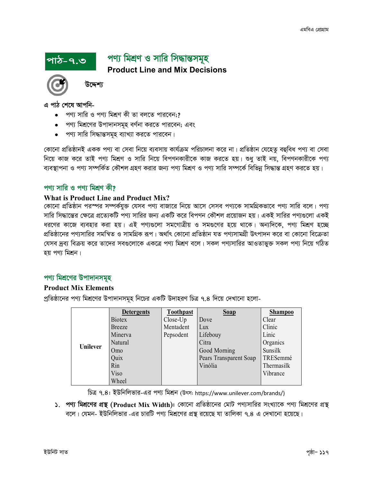# পণ্য মিশ্ৰণ ও সারি সিদ্ধান্তসমূহ **Product Line and Mix Decisions**



উদ্দেশ্য

এ পাঠ শেষে আপনি-

পাঠ-৭.৩

- পণ্য সারি ও পণ্য মিশ্রণ কী তা বলতে পারবেন:?
- পণ্য মিশ্রণের উপাদানসমূহ বর্ণনা করতে পারবেন; এবং
- পণ্য সারি সিদ্ধান্তসমূহ ব্যাখ্যা করতে পারবেন।

কোনো প্রতিষ্ঠানই একক পণ্য বা সেবা নিয়ে ব্যবসায় কার্যক্রম পরিচালনা করে না। প্রতিষ্ঠান যেহেতু বহুবিধ পণ্য বা সেবা নিয়ে কাজ করে তাই পণ্য মিশ্রণ ও সারি নিয়ে বিপণনকারীকে কাজ করতে হয়। শুধু তাই নয়, বিপণনকারীকে পণ্য ব্যবস্থাপনা ও পণ্য সম্পর্কিত কৌশল গ্রহণ করার জন্য পণ্য মিশ্রণ ও পণ্য সারি সম্পর্কে বিভিন্ন সিদ্ধান্ত গ্রহণ করতে হয়।

# পণা সারি ও পণা মিশ্রণ কী?

#### **What is Product Line and Product Mix?**

কোনো প্রতিষ্ঠান পরস্পর সম্পর্কযুক্ত যেসব পণ্য বাজারে নিয়ে আসে সেসব পণ্যকে সামগ্রিকভাবে পণ্য সারি বলে। পণ্য সারি সিদ্ধান্তের ক্ষেত্রে প্রত্যেকটি পণ্য সারির জন্য একটি করে বিপণন কৌশল প্রয়োজন হয়। একই সারির পণ্যগুলো একই ধরণের কাজে ব্যবহার করা হয়। এই পণ্যগুলো সমগোত্রীয় ও সমগুণের হয়ে থাকে। অন্যদিকে, পণ্য মিশ্রণ হচ্ছে প্রতিষ্ঠানের পণ্যসারির সমন্বিত ও সামগ্রিক রূপ। অর্থাৎ কোনো প্রতিষ্ঠান যত পণ্যসামগ্রী উৎপাদন করে বা কোনো বিক্রেতা যেসব দ্রব্য বিক্রয় করে তাদের সবগুলোকে একত্রে পণ্য মিশ্রণ বলে। সকল পণ্যসারির আওতাভুক্ত সকল পণ্য নিয়ে গঠিত হয় পণ্য মিশ্ৰন।

# পণ্য মিশ্রণের উপাদানসমূহ

### **Product Mix Elements**

প্রতিষ্ঠানের পণ্য মিশ্রণের উপাদানসমূহ নিচের একটি উদাহরণ চিত্র ৭.৪ দিয়ে দেখানো হলো-

|          | <b>Detergents</b> | <b>Toothpast</b> | <b>Soap</b>            | <b>Shampoo</b> |
|----------|-------------------|------------------|------------------------|----------------|
| Unilever | <b>Biotex</b>     | Close-Up         | Dove                   | Clear          |
|          | Breeze            | Mentadent        | Lux                    | Clinic         |
|          | Minerva           | Pepsodent        | Lifebouy               | Linic          |
|          | Natural           |                  | Citra                  | Organics       |
|          | Omo               |                  | Good Morning           | Sunsilk        |
|          | Quix              |                  | Pears Transparent Soap | TRESemmé       |
|          | Rin               |                  | Vinólia                | Thermasilk     |
|          | Viso              |                  |                        | Vibrance       |
|          | Wheel             |                  |                        |                |

চিত্র ৭.৪: ইউনিলিভার-এর পণ্য মিশ্রন (উৎস: https://www.unilever.com/brands/)

১. পণ্য মিশ্রণের প্রস্থ (Product Mix Width): কোনো প্রতিষ্ঠানের মোট পণ্যসারির সংখ্যাকে পণ্য মিশ্রণের প্রস্থ বলে। যেমন- ইউনিলিভার -এর চারটি পণ্য মিশ্রণের প্রস্ত রয়েছে যা তালিকা ৭.৪ এ দেখানো হয়েছে।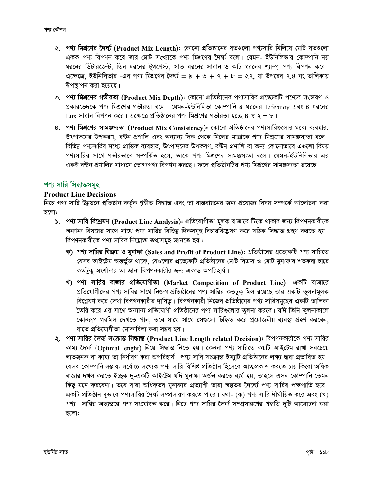- ২. পণ্য মিশ্রণের দৈর্ঘ্য (Product Mix Length): কোনো প্রতিষ্ঠানের যতগুলো পণ্যসারি মিলিয়ে মোট যতগুলো একক পণ্য বিপণন করে তার মোট সংখ্যাকে পণ্য মিশ্রণের দৈর্ঘ্য বলে। যেমন- ইউনিলিভার কোম্পানি নয় ধরনের ডিটারজেন্ট, তিন ধরনের টুথপেস্ট, সাত ধরনের সাবান ও আট ধরনের শ্যাম্পু পণ্য বিপণন করে।  $4$ ক্ষেত্রে, ইউনিলিভার -এর পণ্য মিশ্রণের দৈর্ঘ্য = ৯ + ৩ + ৭ + ৮ = ২৭, যা উপরের ৭.৪ নং তালিকায় উপস্থাপন করা *হ*য়েছে।
- ৩. পণ্য **মিশ্রণের গভীরতা (Product Mix Depth)**: কোনো প্রতিষ্ঠানের পণ্যসারির প্রত্যেকটি পণ্যের সংস্করণ ও প্রকারভেদকে পণ্য মিশ্রণের গভীরতা বলে। যেমন-ইউনিলিভা কোম্পানি ৪ ধরনের Lifebuoy এবং ৪ ধরনের  $_{\rm Lux}$  সাবান বিপণন করে। এক্ষেত্রে প্রতিষ্ঠানের পণ্য মিশ্রণের গভীরতা হচ্ছে ৪ x ২ = ৮।
- *8. প*ণ্য মিশ্রণের সামঞ্জস্যতা (Product Mix Consistency): কোনো প্রতিষ্ঠানের পণ্যসারিগুলোর মধ্যে ব্যবহার, উৎপাদনের উপকরণ, বণ্টন প্রণালি এবং অন্যান্য দিক থেকে মিলের মাত্রাকে পণ্য মিশ্রণের সামঞ্জস্যতা বলে। *বি*ভিন্ন পণ্যসারির মধ্যে প্রান্তিক ব্যবহার, উৎপাদনের উপকরণ, বণ্টন প্রণালি বা অন্য কোনোভাবে এগুলো বিষয় পণ্যসারির সাথে গভীরভাবে সম্পর্কিত হলে, তাকে পণ্য মিশ্রণের সামঞ্জস্যতা বলে। যেমন-ইউনিলিভার এর একই বণ্টন প্রণালির মাধ্যমে ভোগ্যপণ্য বিপণন করছে। ফলে প্রতিষ্ঠানটির পণ্য মিশ্রণের সামঞ্জস্যতা রয়েছে।

### *প*ণ্য সারি সিদ্ধান্তসমূহ

#### **Product Line Decisions**

*নিচে প*ণ্য সারি উন্নয়নে প্রতিষ্ঠান কর্তৃক গৃহীত সিদ্ধান্ত এবং তা বাস্তবায়নের জন্য প্রযোজ্য বিষয় সম্পর্কে আলোচনা করা *n‡jv:*

- $\lambda$ . পণ্য সারি বিশ্লেষণ (Product Line Analysis): প্রতিযোগীতা মূলক বাজারে টিকে থাকার জন্য বিপণনকারীকে অন্যান্য বিষয়ের সাথে সাথে পণ্য সারির বিভিন্ন দিকসমূহ বিচারবিশ্লেষণ করে সঠিক সিদ্ধান্ত গ্রহণ করতে হয়। *বিপ*ণনকারীকে পণ্য সারির নিম্নোক্ত তথ্যসমূহ জানতে হয় :
	- *ক*) পণ্য সারির বিক্রয় ও মুনাফা (Sales and Profit of Product Line): প্রতিষ্ঠানের প্রত্যেকটি পণ্য সারিতে *†hme AvB‡Ug AšÍf©y³ \_v‡K, †h¸‡jvi cÖ‡Z¨KwU cÖwZôv‡bi †gvU weµq I †gvU gybvdvi kZKiv nv‡i*  কতটুক অংশীদার তা জানা বিপণনকারীর জন্য একান্ত অপরিহার্য।
	- খ) পণ্য সারির বাজার প্রতিযোগীতা (Market Competition of Product Line): একটি বাজারে *প্র*তিযোগীদের পণ্য সারির সাথে নিজস্ব প্রতিষ্ঠানের পণ্য সারির কতটুকু মিল রয়েছে তার একটি তুলনামূলক *বি*শ্লেষণ করে দেখা বিপণনকারীর দায়িত্ব। বিপণনকারী নিজের প্রতিষ্ঠানের পণ্য সারিসমূহের একটি তালিকা ৈতরি করে এর সাথে অন্যান্য প্রতিযোগী প্রতিষ্ঠানের পণ্য সারিগুলোর তুলনা করবে। যদি তিনি তুলনাকালে *†Kvbiƒc Miwgj †`L‡Z cvb, Z‡e mv‡\_ mv‡\_ †m¸‡jv wPwýZ K‡i cÖ‡qvRbxq e¨e¯'v MÖnY Ki‡eb, মাতে প্ৰতি*যোগীতা মোকাবিলা করা সম্ভব হয়।
- **২. পণ্য সারির দৈর্ঘ্য সংক্রান্ত সিদ্ধান্ত (Product Line Length related Decision): বিপণনকারীকে পণ্য সারির** কাম্য দৈৰ্ঘ্য (Optimal lenght) নিয়ে সিদ্ধান্ত নিতে হয়। কেননা পণ্য সারিতে কয়টি আইটেম রাখা সবচেয়ে *jvfRbK ev Kvg¨ Zv wba©viY Kiv Acwinvh©| cY¨ mvwi msµvšÍ Bm¨ywU cÖwZôv‡bi jÿ¨ Øviv cÖfvweZ nq| (*যসব কোম্পানি সম্ভাব্য সৰ্বোচ্চ সংখ্যক পণ্য সারি বিশিষ্ট প্রতিষ্ঠান হিসেবে আত্মপ্রকাশ করতে চায় কিংবা অধিক *বা*জার দখল করতে ইচ্ছুক দু-একটি আইটেম যদি মুনাফা অর্জন করতে ব্যর্থ হয়, তাহলে এসব কোম্পানি তেমন কিছু মনে করবেনা। তবে যারা অধিকতর মুনাফার প্রত্যাশী তারা স্বল্পতর দৈর্ঘ্যে পণ্য সারির পক্ষপাতি হবে। একটি প্রতিষ্ঠান দুভাবে পণ্যসারির দৈর্ঘ্য সম্প্রসারণ করতে পারে। যথা- (ক) পণ্য সারি দীর্ঘায়িত করে এবং (খ) পণ্য। সারির অভ্যন্তরে পণ্য সংযোজন করে। নিচে পণ্য সারির দৈর্ঘ্য সম্প্রসারণের পদ্ধতি দুটি আলোচনা করা হলো: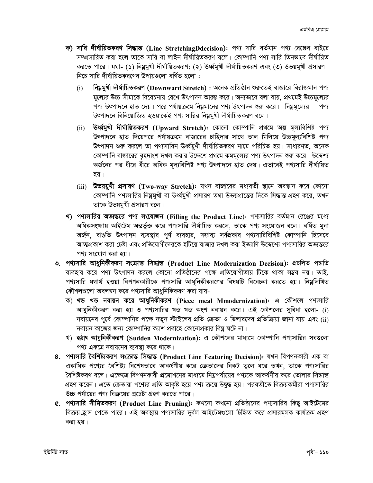- ক) সারি দীর্ঘায়িতকরণ সিদ্ধান্ত (Line StretchingDdecision): পণ্য সারি বর্তমান পণ্য রেঞ্জের বাইরে সম্প্রসারিত করা হলে তাকে সারি বা লাইন দীর্ঘায়িতকরণ বলে। কোম্পানি পণ্য সারি তিনভাবে দীর্ঘায়িত করতে পারে। যথা- (১) নিম্নমুখী দীর্ঘায়িতকরণ; (২) ঊর্ধ্বমুখী দীর্ঘায়িতকরণ এবং (৩) উভয়মুখী প্রসারণ। নিচে সারি দীর্ঘায়িতকরণের উপায়গুলো বর্ণিত হলো:
	- নিম্নমুখী দীৰ্ঘায়িতকরণ (Downward Stretch) : অনেক প্রতিষ্ঠান শুরুতেই বাজারে বিরাজমান পণ্য  $(i)$ মূল্যের উচ্চ সীমাকে বিবেচনায় রেখে উৎপাদন আরম্ভ করে। অন্যভাবে বলা যায়, প্রথমেই উচ্চমূল্যের পণ্য উৎপাদনে হাত দেয়। পরে পর্যায়ক্রমে নিয়ুমানের পণ্য উৎপাদন শুরু করে। নিয়ুমূল্যের পণ্য উৎপাদনে বিনিয়োজিত হওয়াকেই পণ্য সারির নিম্নমুখী দীর্ঘায়িতকরণ বলে।
	- উৰ্ধ্বমুখী দীৰ্ঘায়িতকরণ (Upward Stretch): কোনো কোম্পানি প্রথমে অল্প মূল্যবিশিষ্ট পণ্য  $(ii)$ উৎপাদনে হাত দিয়েপরে পর্যায়ক্রমে বাজারের চাহিদার সাথে তাল মিলিয়ে উচ্চমূল্যবিশিষ্ট পণ্য উৎপাদন শুরু করলে তা পণ্যসাবিন ঊর্ধ্বমুখী দীর্ঘায়িতকরণ নামে পরিচিত হয়। সাধারণত, অনেক কোম্পানি বাজারের বৃহদাংশ দখল করার উদ্দেশে প্রথমে কমমূল্যের পণ্য উৎপাদন শুরু করে। উদ্দেশ্য অর্জনের পর ধীরে ধীরে অধিক মল্যবিশিষ্ট পণ্য উৎপাদনে হাত দেয়। এভাবেই পণ্যসারি দীর্ঘায়িত হয়।
	- $(iii)$  উভয়মুখী প্রসারণ (Two-way Stretch): যখন বাজারের মধ্যবর্তী স্থানে অবস্থান করে কোনো কোম্পানি পণ্যসারির নিয়ুমুখী বা ঊর্ধ্বমুখী প্রসারণ তথা উভয়প্রান্তের দিকে সিদ্ধান্ত গ্রহণ করে, তখন তাকে উভয়মুখী প্ৰসারণ বলে।
- খ) পণ্যসারির অভ্যন্তরে পণ্য সংযোজন (Filling the Product Line): পণ্যসারির বর্তমান রেঞ্জের মধ্যে অধিকসংখ্যায় আইটেম অন্তর্ভুক্ত করে পণ্যসারি দীর্ঘায়িত করলে, তাকে পণ্য সংযোজন বলে। বর্ধিত মুনা অর্জন, বাঙতি উৎপাদন ব্যবস্থার পূর্ণ ব্যবহার, সম্ভাব্য সর্বপ্রকার পণ্যসারিবিশিষ্ট কোম্পানি হিসেবে আত্মপ্রকাশ করা চেষ্টা এবং প্রতিযোগীদেরকে হটিয়ে বাজার দখল করা ইত্যাদি উদ্দেশ্যে পণ্যসারির অভ্যন্তরে পণ্য সংযোগ করা হয়।
- ৩. পণ্যসারি আধুনিকীকরণ সংক্রান্ত সিদ্ধান্ত (Product Line Modernization Decision): প্রচলিত পদ্ধতি ব্যবহার করে পণ্য উৎপাদন করলে কোনো প্রতিষ্ঠানের পক্ষে প্রতিযোগীতায় টিকে থাকা সম্ভব নয়। তাই, পণ্যসারি যথার্থ হওয়া বিপণনকারীকে পণ্যসারি আধুনিকীকরণের বিষয়টি বিবেচনা করতে হয়। নিম্নলিখিত কৌশলগুলো অবলম্বন করে পণ্যসারি আধুনিকিকরণ করা যায়-
	- ক) খন্ড খন্ড নবায়ন করে আধুনিকীকরণ (Piece meal Mmodernization): এ কৌশলে পণ্যসারি আধুনিকীকরণ করা হয় ও পণ্যসারির খন্ড খন্ড অংশ নবায়ন করে। এই কৌশলের সুবিধা হলো- (i) নবায়নের পূর্বে কোম্পানির পক্ষে নতুন স্টাইলের প্রতি ক্রেতা ও ডিলারদের প্রতিক্রিয়া জানা যায় এবং (ii) নবায়ন কাজের জন্য কোম্পানির ক্যাশ প্রবাহে কোনোপ্রকার বিঘ্ন ঘটে না।
	- খ) **হঠাৎ আধুনিকীকরণ (Sudden Modernization)**: এ কৌশলের মাধ্যমে কোম্পানি পণ্যসারির সবগুলো পণ্য একত্রে নবায়নের ব্যবস্থা করে থাকে।
- ৪. পণ্যসারি বৈশিষ্ট্যকরণ সংক্রান্ত সিদ্ধান্ত (Product Line Featuring Decision): যখন বিপণনকারী এক বা একাধিক পণ্যের বৈশিষ্ট্য বিশেষভাবে আকর্ষণীয় করে ক্রেতাদের নিকট তুলে ধরে তখন, তাকে পণ্যসারির বৈশিষ্টকরণ বলে। এক্ষেত্রে বিপণনকারী প্রমোশনের মাধ্যমে নিয়ুপর্যায়ের পণ্যকে আকর্ষণীয় করে তোলার সিদ্ধান্ত গ্রহণ করেন। এতে ক্রেতারা পণ্যের প্রতি আকৃষ্ট হয়ে পণ্য ক্রয়ে উদ্বুদ্ধ হয়। পরবর্তীতে বিক্রয়কর্মীরা পণ্যসারির উচ্চ পর্যায়ের পণ্য বিক্রয়ের প্রচেষ্টা গ্রহণ করতে পারে।
- ৫. পণ্যসারি সীমিতকরণ (Product Line Pruning): কখনো কখনো প্রতিষ্ঠানের পণ্যসারির কিছু আইটেমের বিক্রয় হ্রাস পেতে পারে। এই অবস্থায় পণ্যসারির দুর্বল আইটেমগুলো চিহ্নিত করে প্রসারমূলক কার্যক্রম গ্রহণ করা হয়।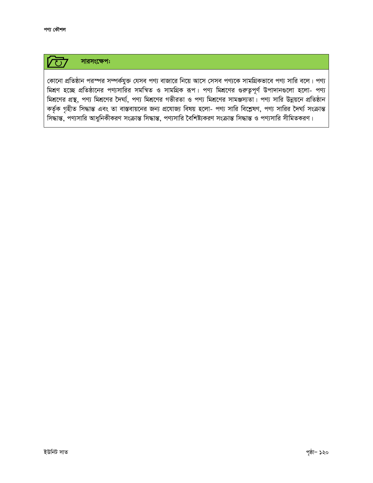সারসংক্ষেপ:  $\overline{C}$ 

কোনো প্রতিষ্ঠান পরস্পর সম্পর্কযুক্ত যেসব পণ্য বাজারে নিয়ে আসে সেসব পণ্যকে সামগ্রিকভাবে পণ্য সারি বলে। পণ্য মিশ্রণ হচ্ছে প্রতিষ্ঠানের পণ্যসারির সমন্বিত ও সামগ্রিক রূপ। পণ্য মিশ্রণের গুরুত্বপূর্ণ উপাদানগুলো হলো- পণ্য মিশ্রণের প্রস্থ, পণ্য মিশ্রণের দৈর্ঘ্য, পণ্য মিশ্রণের গভীরতা ও পণ্য মিশ্রণের সামঞ্জস্যতা। পণ্য সারি উন্নয়নে প্রতিষ্ঠান কর্তৃক গৃহীত সিদ্ধান্ত এবং তা বাস্তবায়নের জন্য প্রযোজ্য বিষয় হলো- পণ্য সারি বিশ্লেষণ, পণ্য সারির দৈর্ঘ্য সংক্রান্ত সিদ্ধান্ত, পণ্যসারি আধুনিকীকরণ সংক্রান্ত সিদ্ধান্ত, পণ্যসারি বৈশিষ্ট্যকরণ সংক্রান্ত সিদ্ধান্ত ও পণ্যসারি সীমিতকরণ।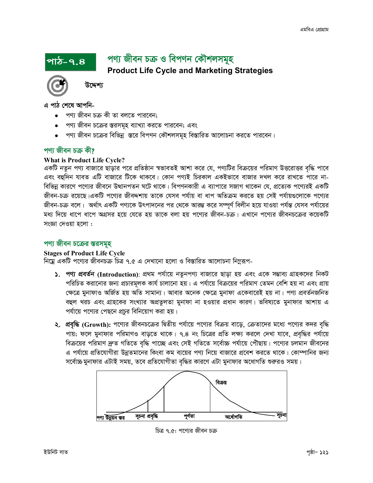# পণ্য জীবন চক্ৰ ও বিপণন কৌশলসমূহ

**Product Life Cycle and Marketing Strategies** 



উদ্দেশ্য

এ পাঠ শেষে আপনি-

পাঠ-৭.৪

- পণ্য জীবন চক্ৰ কী তা বলতে পারবেন;
- পণ্য জীবন চক্রের স্তরসমূহ ব্যাখ্যা করতে পারবেন; এবং
- পণ্য জীবন চক্রের বিভিন্ন স্তরে বিপণন কৌশলসমূহ বিস্তারিত আলোচনা করতে পারবেন।

# পণ্য জীবন চক্ৰ কী?

#### **What is Product Life Cycle?**

একটি নতুন পণ্য বাজারে ছাড়ার পরে প্রতিষ্ঠান স্বভাবতই আশা করে যে, পণ্যটির বিক্রয়ের পরিমাণ উত্তরোত্তর বৃদ্ধি পাবে এবং বহুদিন যাবত এটি বাজারে টিকে থাকবে। কোন পণ্যই চিরকাল একইভাবে বাজার দখল করে রাখতে পারে না-বিভিন্ন কারণে পণ্যের জীবনে উত্থানপতন ঘটে থাকে। বিপণনকারী এ ব্যাপারে সজাগ থাকেন যে, প্রত্যেক পণ্যেরই একটি জীবন-চক্র রয়েছে।একটি পণ্যের জীবদ্দশায় তাকে যেসব পর্যায় বা ধাপ অতিক্রম করতে হয় সেই পর্যায়গুলোকে পণ্যের জীবন-চক্র বলে। অর্থাৎ একটি পণ্যকে উৎপাদনের পর থেকে আরম্ভ করে সম্পূর্ণ বিলীন হয়ে যাওয়া পর্যন্ত যেসব পর্যায়ের মধ্য দিয়ে ধাপে ধাপে অগ্রসর হয়ে যেতে হয় তাকে বলা হয় পণ্যের জীবন-চক্র। এখানে পণ্যের জীবনচক্রের কয়েকটি সংজ্ঞা দেওয়া হলো:

#### পণ্য জীবন চক্রের স্তরসমূহ

#### **Stages of Product Life Cycle**

নিম্নে একটি পণ্যের জীবনচক্র চিত্র ৭.৫ এ দেখানো হলো ও বিস্তারিত আলোচনা নিম্নরূপ-

- ১. পণ্য প্রবর্তন (Introduction): প্রথম পর্যায়ে নতুনপণ্য বাজারে ছাড়া হয় এবং একে সম্ভাব্য গ্রাহকদের নিকট পরিচিত করানোর জন্য প্রচারমূলক কার্য চালানো হয়। এ পর্যায়ে বিক্রয়ের পরিমাণ তেমন বেশি হয় না এবং প্রায় ক্ষেত্রে মুনাফাও অর্জিত হয় অতি সামান্য। আবার অনেক ক্ষেত্রে মুনাফা একেবারেই হয় না। পণ্য প্রবর্তনজনিত বহুল খরচ এবং গ্রাহকের সংখ্যার অপ্রতুলতা মুনাফা না হওয়ার প্রধান কারণ। ভবিষ্যতে মুনাফার আশায় এ পর্যায়ে পণ্যের পেছনে প্রচুর বিনিয়োগ করা হয়।
- ২. প্রবৃদ্ধি (Growth): পণ্যের জীবনচক্রের দ্বিতীয় পর্যায়ে পণ্যের বিক্রয় বাড়ে, ক্রেতাদের মধ্যে পণ্যের কদর বৃদ্ধি পায়; ফলে মুনাফার পরিমাণও বাড়তে থাকে। ৭.৪ নং চিত্রের প্রতি লক্ষ্য করলে দেখা যাবে, প্রবৃদ্ধির পর্যায়ে বিক্রয়ের পরিমাণ দ্রুত গতিতে বৃদ্ধি পাচ্ছে এবং সেই গতিতে সর্বোচ্চ পর্যায়ে পৌছায়। পণ্যের চলমান জীবনের এ পর্যায়ে প্রতিযোগীরা উন্নতমানের কিংবা কম ব্যয়ের পণ্য নিয়ে বাজারে প্রবেশ করতে থাকে। কোম্পানির জন্য সর্বোচ্চ মুনাফার এটাই সময়, তবে প্রতিযোগীতা বৃদ্ধির কারণে এটা মুনাফার অধোগতি শুরুরও সময়।



চিত্র ৭.৫: পণ্যের জীবন চক্র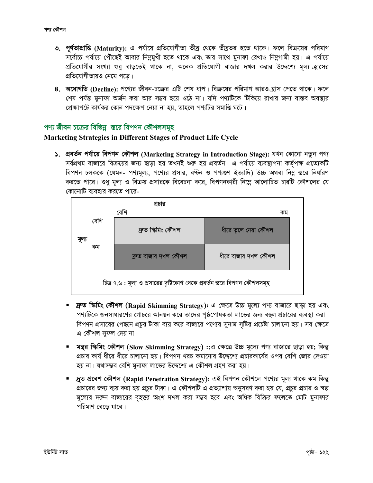- ৩. পূর্ণতাপ্রাপ্তি (Maturity): এ পর্যায়ে প্রতিযোগীতা তীব্র থেকে তীব্রতর হতে থাকে। ফলে বিক্রয়ের পরিমাণ সর্বোচ্চ পর্যায়ে পৌঁছেই আবার নিম্নমুখী হতে থাকে এবং তার সাথে মুনাফা রেখাও নিম্নগামী হয়। এ পর্যায়ে প্রতিযোগীর সংখ্যা শুধু বাড়তেই থাকে না, অনেক প্রতিযোগী বাজার দখল করার উদ্দেশ্যে মূল্য হ্রাসের প্রতিযোগীতায়ও নেমে পড়ে।
- ৪. অধোগতি (Decline): পণ্যের জীবন-চক্রের এটি শেষ ধাপ। বিক্রয়ের পরিমাণ আরও হ্রাস পেতে থাকে। ফলে শেষ পর্যন্ত মুনাফা অর্জন করা আর সম্ভব হয়ে ওঠে না। যদি পণ্যটিকে টিকিয়ে রাখার জন্য বাস্তব অবস্থার প্রেক্ষাপটে কার্যকর কোন পদক্ষেপ নেয়া না হয়, তাহলে পণ্যটির সমাপ্তি ঘটে।

# পণ্য জীবন চক্রের বিভিন্ন স্তরে বিপণন কৌশলসমূহ

#### **Marketing Strategies in Different Stages of Product Life Cycle**

১. প্ৰবৰ্তন পৰ্যায়ে বিপণন কৌশল (Marketing Strategy in Introduction Stage): যখন কোনো নতুন পণ্য সর্বপ্রথম বাজারে বিক্রয়ের জন্য ছাড়া হয় তখনই শুরু হয় প্রবর্তন। এ পর্যায়ে ব্যবস্থাপনা কর্তৃপক্ষ প্রত্যেকটি বিপণন চলককে (যেমন- পণ্যমূল্য, পণ্যের প্রসার, বণ্টন ও পণ্যগুণ ইত্যাদি) উচ্চ অথবা নিম্ন স্তরে নির্ধারণ করতে পারে। শুধু মূল্য ও বিক্রয় প্রসারকে বিবেচনা করে, বিপণনকারী নিম্নে আলোচিত চারটি কৌশলের যে কোনোটি ব্যবহার করতে পারে-



- ্দ্রুত স্কিমিং কৌশল (Rapid Skimming Strategy): এ ক্ষেত্রে উচ্চ মূল্যে পণ্য বাজারে ছাড়া হয় এবং পণ্যটিকে জনসাধারণের গোচরে আনয়ন করে তাদের পৃষ্ঠপোষকতা লাভের জন্য বহুল প্রচারের ব্যবস্থা করা। বিপণন প্রসারের পেছনে প্রচুর টাকা ব্যয় করে বাজারে পণ্যের সুনাম সৃষ্টির প্রচেষ্টা চালানো হয়। সব ক্ষেত্রে এ কৌশল সুফল দেয় না।
- মন্থর স্কিমিং কৌশল (Slow Skimming Strategy) ::এ ক্ষেত্রে উচ্চ মূল্যে পণ্য বাজারে ছাড়া হয়; কিন্তু প্রচার কার্য ধীরে ধীরে চালানো হয়। বিপণন খরচ কমানোর উদ্দেশ্যে প্রচারকার্যের ওপর বেশি জোর দেওয়া হয় না। যথাসম্ভব বেশি মুনাফা লাভের উদ্দেশ্যে এ কৌশল গ্রহণ করা হয়।
- দ্রুত প্রবেশ কৌশল (Rapid Penetration Strategy): এই বিপণন কৌশলে পণ্যের মূল্য থাকে কম কিন্তু প্রচারের জন্য ব্যয় করা হয় প্রচুর টাকা। এ কৌশলটি এ প্রত্যাশায় অনুসরণ করা হয় যে, প্রচুর প্রচার ও স্বল্প মূল্যের দরুন বাজারের বৃহত্তর অংশ দখল করা সম্ভব হবে এবং অধিক বিক্রির ফলেতে মোট মুনাফার পরিমাণ বেডে যাবে।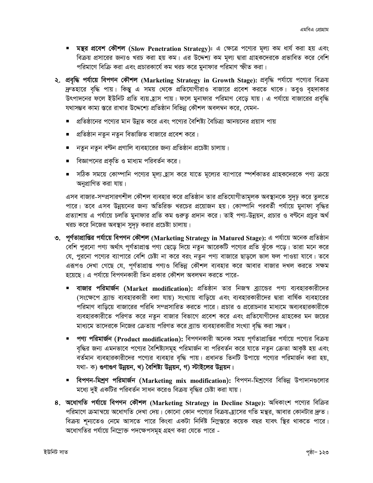- মন্তুর প্রবেশ কৌশল (Slow Penetration Strategy): এ ক্ষেত্রে পণ্যের মূল্য কম ধার্য করা হয় এবং বিক্রয় প্রসারের জন্যও খরচ করা হয় কম। এর উদ্দেশ্য কম মূল্য দ্বারা গ্রাহকদেরকে প্রভাবিত করে বেশি পরিমাণে বিক্রি করা এবং প্রচারকার্যে কম খরচ করে মুনাফার পরিমাণ স্ফীত করা।
- ২. প্রবৃদ্ধি পর্যায়ে বিপণন কৌশল (Marketing Strategy in Growth Stage): প্রবৃদ্ধি পর্যায়ে পণ্যের বিক্রয় দ্রুতহারে বৃদ্ধি পায়। কিন্তু এ সময় থেকে প্রতিযোগীরাও বাজারে প্রবেশ করতে থাকে। তবুও বৃহদাকার উৎপাদনের ফলে ইউনিট প্রতি ব্যয় হ্রাস পায়। ফলে মুনাফার পরিমাণ বেড়ে যায়। এ পর্যায়ে বাজারের প্রবৃদ্ধি যথাসম্ভব কাম্য স্তরে রাখার উদ্দেশ্যে প্রতিষ্ঠান বিভিন্ন কৌশল অবলম্বন করে, যেমন-
	- প্রতিষ্ঠানের পণ্যের মান উন্নত করে এবং পণ্যের বৈশিষ্ট্য বৈচিত্র্য আনয়নের প্রয়াস পায়
	- প্রতিষ্ঠান নতুন নতুন বিভাজিত বাজারে প্রবেশ করে।
	- নতুন নতুন বণ্টন প্রণালি ব্যবহারের জন্য প্রতিষ্ঠান প্রচেষ্টা চালায়।
	- বিজ্ঞাপনের প্রকৃতি ও মাধ্যম পরিবর্তন করে।
	- সঠিক সময়ে কোম্পানি পণ্যের মূল্য হ্রাস করে যাতে মূল্যের ব্যাপারে স্পর্শকাতর গ্রাহকদেরকে পণ্য ক্রয়ে অনপ্রাণিত করা যায়।

এসব বাজার-সম্প্রসারণশীল কৌশল ব্যবহার করে প্রতিষ্ঠান তার প্রতিযোগীতামূলক অবস্থানকে সুদৃঢ় করে তুলতে পারে। তবে এসব উন্নয়নের জন্য অতিরিক্ত খরচের প্রয়োজন হয়। কোম্পানি পরবর্তী পর্যায়ে মুনাফা বৃদ্ধির প্রত্যাশায় এ পর্যায়ে চলতি মুনাফার প্রতি কম গুরুতু প্রদান করে। তাই পণ্য-উন্নয়ন, প্রচার ও বণ্টনে প্রচুর অর্থ খরচ করে নিজের অবস্থান সুদৃঢ় করার প্রচেষ্টা চালায়।

- ৩. পূর্ণতাপ্রাপ্তির পর্যায়ে বিপণন কৌশল (Marketing Strategy in Matured Stage): এ পর্যায়ে অনেক প্রতিষ্ঠান বেশি পুরনো পণ্য অর্থাৎ পূর্ণতাপ্রাপ্ত পণ্য ছেড়ে দিয়ে নতুন আরেকটি পণ্যের প্রতি ঝুঁকে পড়ে। তারা মনে করে যে, পুরনো পণ্যের ব্যাপারে বেশি চেষ্টা না করে বরং নতুন পণ্য বাজারে ছাড়লে ভাল ফল পাওয়া যাবে। তবে এরূপও দেখা গেছে যে, পূর্ণতাপ্রাপ্ত পণ্যও বিভিন্ন কৌশল ব্যবহার করে আবার বাজার দখল করতে সক্ষম হয়েছে। এ পর্যায়ে বিপণনকারী তিন প্রকার কৌশল অবলম্বন করতে পারে-
	- বাজার পরিমার্জন (Market modification): প্রতিষ্ঠান তার নিজস্ব ব্র্যান্ডের পণ্য ব্যবহারকারীদের (সংক্ষেপে ব্র্যান্ড ব্যবহারকারী বলা যায়) সংখ্যায় বাড়িয়ে এবং ব্যবহারকারীদের দ্বারা বার্ষিক ব্যবহারের পরিমাণ বাড়িয়ে বাজারের পরিধি সম্প্রসারিত করতে পারে। প্রচার ও প্ররোচনার মাধ্যমে অব্যবহারকারীকে ব্যবহারকারীতে পরিণত করে নতুন বাজার বিভাগে প্রবেশ করে এবং প্রতিযোগীদের গ্রাহকের মন জয়ের মাধ্যমে তাদেরকে নিজের ক্রেতায় পরিণত করে ব্র্যান্ড ব্যবহারকারীর সংখ্যা বৃদ্ধি করা সম্ভব।
	- পণ্য পরিমার্জন (Product modification): বিপণনকারী অনেক সময় পূর্ণতাপ্রাপ্তির পর্যায়ে পণ্যের বিক্রয় বৃদ্ধির জন্য এমনভাবে পণ্যের বৈশিষ্ট্যসমূহ পরিমার্জন বা পরিবর্তন করে যাতে নতুন ক্রেতা আকৃষ্ট হয় এবং বর্তমান ব্যবহারকারীদের পণ্যের ব্যবহার বৃদ্ধি পায়। প্রধানত তিনটি উপায়ে পণ্যের পরিমার্জন করা হয়, যথা- ক) গুণাগুণ উন্নয়ন, খ) বৈশিষ্ট্য উন্নয়ন, গ) স্টাইলের উন্নয়ন।
	- বিপণন-মিশ্রণ পরিমার্জন (Marketing mix modification): বিপণন-মিশ্রণের বিভিন্ন উপাদানগুলোর মধ্যে দুই একটির পরিবর্তন সাধন করেও বিক্রয় বৃদ্ধির চেষ্টা করা যায়।
- ৪. অধোগতি পর্যায়ে বিপণন কৌশল (Marketing Strategy in Decline Stage): অধিকাংশ পণ্যের বিক্রির পরিমাণে ক্রমান্বয়ে অধোগতি দেখা দেয়। কোনো কোন পণ্যের বিক্রয়-হাসের গতি মন্থর, আবার কোনটার দ্রুত। বিক্রয় শূন্যতেও নেমে আসতে পারে কিংবা একটা নির্দিষ্ট নিম্নস্তরে কয়েক বছর যাবৎ স্থির থাকতে পারে। অধোগতির পর্যায়ে নিম্নোক্ত পদক্ষেপসমূহ গ্রহণ করা যেতে পারে -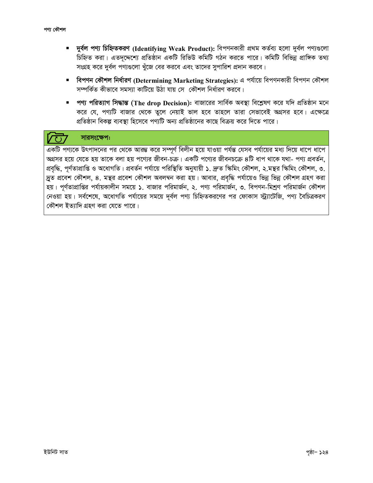- দুৰ্বল পণ্য চিহ্নিতকরণ (Identifying Weak Product): বিপণনকারী প্রথম কর্তব্য হলো দুর্বল পণ্যগুলো চিহ্নিত করা। এতদদ্দেশ্যে প্রতিষ্ঠান একটি রিভিউ কমিটি গঠন করতে পারে। কমিটি বিভিন্ন প্রাঙ্গিক তথ্য সংগ্রহ করে দুর্বল পণ্যগুলো খুঁজে বের করবে এবং তাদের সুপারিশ প্রদান করবে।
- বিপণন কৌশল নির্ধারণ (Determining Marketing Strategies): এ পর্যায়ে বিপণনকারী বিপণন কৌশল সম্পর্কিত কীভাবে সমস্যা কাটিয়ে উঠা যায় সে কৌশল নির্ধারণ করবে।
- পণ্য পরিত্যাগ সিদ্ধান্ত (The drop Decision): বাজারের সার্বিক অবস্থা বিশ্লেষণ করে যদি প্রতিষ্ঠান মনে করে যে, পণ্যটি বাজার থেকে তুলে নেয়াই ভাল হবে তাহলে তারা সেভাবেই অগ্রসর হবে। এক্ষেত্রে প্রতিষ্ঠান বিকল্প ব্যবস্থা হিসেবে পণ্যটি অন্য প্রতিষ্ঠানের কাছে বিক্রয় করে দিতে পারে।

# সারসংক্ষেপ:

একটি পণ্যকে উৎপাদনের পর থেকে আরম্ভ করে সম্পূর্ণ বিলীন হয়ে যাওয়া পর্যন্ত যেসব পর্যায়ের মধ্য দিয়ে ধাপে ধাপে অগ্রসর হয়ে যেতে হয় তাকে বলা হয় পণ্যের জীবন-চক্র। একটি পণ্যের জীবনচক্রে ৪টি ধাপ থাকে যথা- পণ্য প্রবর্তন, প্রবৃদ্ধি, পূর্ণতাপ্রাপ্তি ও অধোগতি। প্রবর্তন পর্যায়ে পরিস্থিতি অনুযায়ী ১. দ্রুত স্কিমিং কৌশই, ২.মন্থর স্কিমিং কৌশল, ৩. দ্রুত প্রবেশ কৌশল, ৪. মন্থর প্রবেশ কৌশল অবলম্বন করা হয়। আবার, প্রবৃদ্ধি পর্যায়েও ভিন্ন ভিন্ন কৌশল গ্রহণ করা হয়। পূর্ণতাপ্রাপ্তির পর্যায়কালীন সময়ে ১. বাজার পরিমার্জন, ২. পণ্য পরিমার্জন, ৩. বিপণন-মিশ্রণ পরিমার্জন কৌশল নেওয়া হয়। সর্বশেষে, অধোগতি পর্যায়ের সময়ে দূর্বল পণ্য চিহ্নিতকরণের পর ফোকাস স্ট্র্যাটেজি, পণ্য বৈচিত্রকরণ কৌশল ইত্যাদি গ্রহণ করা যেতে পারে।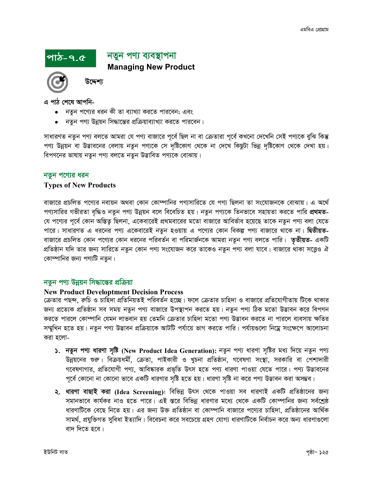# পাঠ-৭.৫

# নতুন পণ্য ব্যবস্থাপনা **Managing New Product**

উদ্দেশ্য

এ পাঠ শেষে আপনি-

- নতুন পণ্যের ধরন কী তা ব্যাখ্যা করতে পারবেন; এবং
- নতুন পণ্য উন্নয়ন সিদ্ধান্তের প্রক্রিয়াব্যাখ্যা করতে পারবেন।

সাধারণত নতুন পণ্য বলতে আমরা যে পণ্য বাজারে পূর্বে ছিল না বা ক্রেতারা পূর্বে কখনো দেখেনি সেই পণ্যকে বুঝি কিন্তু পণ্য উন্নয়ন বা উদ্ভাবনের বেলায় নতুন পণ্যকে সে দৃষ্টিকোণ থেকে না দেখে কিছুটা ভিন্ন দৃষ্টিকোণ থেকে দেখা হয়। বিপণনের ভাষায় নতুন পণ্য বলতে নতুন উদ্ভাবিত পণ্যকে বোঝায়।

#### নতুন পণ্যের ধরন

#### **Types of New Products**

বাজারে প্রচলিত পণ্যের নবায়ন অথবা কোন কোম্পানির পণ্যসারিতে যে পণ্য ছিলনা তা সংযোজনকে বোঝায়। এ অর্থে পণ্যসারির গভীরতা বৃদ্ধিও নতুন পণ্য উন্নয়ন বলে বিবেচিত হয়। নতুন পণ্যকে তিনভাবে সহায়তা করতে পারি **প্রথমত**-যে পণ্যের পূর্বে কোন অস্তিত্ব ছিলনা, একেবারেই প্রথমবারের মতো বাজারে আবির্ভাব হয়েছে তাকে নতুন পণ্য বলা যেতে পারে। সাধারণত এ ধরনের পণ্য একেবারেই নতুন হওয়ায় এ পণ্যের কোন বিকল্প পণ্য বাজারে থাকে না। **দ্বিতীয়ত**-বাজারে প্রচলিত কোন পণ্যের কোন ধরনের পরিবর্তন বা পরিমার্জনকে আমরা নতুন পণ্য বলতে পারি। **তৃতীয়ত**- একটি প্রতিষ্ঠান যদি তার জন্য সারিতে নতুন কোন পণ্য সংযোজন করে তাকেও নতুন পণ্য বলা যাবে। বাজারে থাকা সত্তেও ঐ কোম্পানির জন্য পণ্যটি নতুন।

### নতুন পণ্য উন্নয়ন সিদ্ধান্তের প্রক্রিয়া

#### **New Product Developtment Decision Process**

ক্রেতার পছন্দ, রুচি ও চাহিদা প্রতিনিয়তই পরিবর্তন হচ্ছে। ফলে ক্রেতার চাহিদা ও বাজারে প্রতিযোগীতায় টিকে থাকার জন্য প্রত্যেক প্রতিষ্ঠান সব সময় নতুন পণ্য বাজারে উপস্থাপন করতে হয়। নতুন পণ্য ঠিক মতো উদ্ভাবন করে বিপণন করতে পারলে কোম্পানি যেমন লাভবান হয় তেমনি ক্রেতার চাহিদা মতো পণ্য উদ্ভাবন করতে না পারলে ব্যবসায় ক্ষতির সম্মুখিন হতে হয়। নতুন পণ্য উদ্ভাবন প্রক্রিয়াকে আটটি পর্যায়ে ভাগ করতে পারি। পর্যায়গুলো নিম্নে সংক্ষেপে আলোচনা করা হলো-

- ১. নতুন পণ্য ধারণা সৃষ্টি (New Product Idea Generation): নতুন পণ্য ধারণা সৃষ্টির মধ্য দিয়ে নতুন পণ্য উন্নয়নের শুরু। বিক্রয়ধর্মী, ক্রেতা, পাইকারী ও খুচনা প্রতিষ্ঠান, গবেষণা সংস্থা, সরকারি বা পেশাদারী গবেষণাগার, প্রতিযোগী পণ্য, আবিষ্কারক প্রভৃতি উৎস হতে পণ্য ধারণা পাওয়া যেতে পারে। পণ্য উদ্ভাবনের পূর্বে কোনো না কোনো ভাবে একটি ধারণার সৃষ্টি হতে হয়। ধারণা সৃষ্টি না করে পণ্য উদ্ভাবন করা অসম্ভব।
- ২. ধারণা বাছাই করা (Idea Screening): বিভিন্ন উৎস থেকে পাওয়া সব ধারণাই একটি প্রতিষ্ঠানের জন্য সমানভাবে কার্যকর নাও হতে পারে। এই স্তরে বিভিন্ন ধারণার মধ্যে থেকে একটি কোম্পানির জন্য সর্বশ্রেষ্ঠ ধারণাটিকে বেছে নিতে হয়। এর জন্য উক্ত প্রতিষ্ঠান বা কোম্পানি বাজারে পণ্যের চাহিদা, প্রতিষ্ঠানের আর্থিক সামর্থ, প্রযুক্তিগত সুবিধা ইত্যাদি। বিবেচনা করে সবচেয়ে গ্রহণ যোগ্য ধারণাটিকে নির্বাচন করে অন্য ধারণাগুলো বাদ দিতে হবে।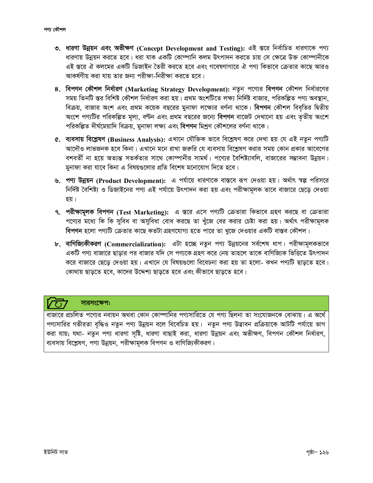- ৩. ধারণা উন্নয়ন এবং অভীক্ষণ (Concept Development and Testing): এই স্তরে নির্বাচিত ধারণাকে পণ্য ধারণায় উন্নয়ন করতে হবে। ধরা যাক একটি কোম্পানি কলম উৎপাদন করতে চায় সে ক্ষেত্রে উক্ত কোম্পানীকে এই স্তরে ঐ কলমের একটি ডিজাইন তৈরী করতে হবে এবং গবেষণাগারে ঐ পণ্য কিভাবে ক্রেতার কাছে আরও আকর্ষণীয় করা যায় তার জন্য পরীক্ষা-নিরীক্ষা করতে হবে।
- ৪. বিপণন কৌশল নির্ধারণ (Marketing Strategy Development): নতুন পণ্যের বিপণন কৌশল নির্ধারণের সময় তিনটি স্তর বিশিষ্ট কৌশল নির্ধারণ করা হয়। প্রথম অংশটিতে লক্ষ্য নির্দিষ্ট বাজার, পরিকল্পিত পণ্য অবস্থান, বিক্রয়, বাজার অংশ এবং প্রথম কয়েক বছরের মুনাফা লক্ষ্যের বর্ণনা থাকে। বিপণন কৌশল বিবৃতির দ্বিতীয় অংশে পণ্যটির পরিকল্পিত মূল্য, বণ্টন এবং প্রথম বছরের জন্যে বিপণন বাজেট দেখানো হয় এবং তৃতীয় অংশে পরিকল্পিত দীর্ঘমেয়াদি বিক্রয়, মুনাফা লক্ষ্য এবং বিপণন মিশ্রণ কৌশলের বর্ণনা থাকে।
- ৫. ব্যবসায় বিশ্লেষণ (Business Analysis): এখানে যৌক্তিক ভাবে বিশ্লেষণ করে দেখা হয় যে এই নতুন পণ্যটি আদৌও লাভজনক হবে কিনা। এখানে মনে রাখা জরুরি যে ব্যবসায় বিশ্লেষণ করার সময় কোন প্রকার আবেগের বশবর্তী না হয়ে অত্যন্ত সতর্কতার সাথে কোম্পানীর সামর্থ। পণ্যের বৈশিষ্ট্যাবলি, বাজারের সম্ভাবনা উন্নয়ন। মুনাফা করা যাবে কিনা এ বিষয়গুলোর প্রতি বিশেষ মনোযোগ দিতে হবে।
- ৬. পণ্য উন্নয়ন (Product Development): এ পর্যায়ে ধারণাকে বাস্তবে রূপ দেওয়া হয়। অর্থাৎ স্বল্প পরিসরে নির্দিষ্ট বৈশিষ্ট্য ও ডিজাইনের পণ্য এই পর্যায়ে উৎপাদন করা হয় এবং পরীক্ষামূলক ভাবে বাজারে ছেড়ে দেওয়া হয়।
- ৭. পরীক্ষামূলক বিপণন (Test Marketing): এ স্তরে এসে পণ্যটি ক্রেতারা কিভাবে গ্রহণ করছে বা ক্রেতারা পণ্যের মধ্যে কি কি সুবিধ বা অসুবিধা বোধ করছে তা খুঁজে বের করার চেষ্টা করা হয়। অর্থাৎ পরীক্ষামূলক বিপণন হলো পণ্যটি ক্রেতার কাছে কতটা গ্রহণযোগ্য হতে পারে তা খুজে দেওয়ার একটি বাস্তব কৌশল।
- ৮. বাণিজ্যিকীকরণ (Commercialization): এটা হচ্ছে নতুন পণ্য উন্নয়নের সর্বশেষ ধাপ। পরীক্ষামূলকভাবে একটি পণ্য বাজারে ছাড়ার পর বাজার যদি সে পণ্যকে গ্রহণ করে নেয় তাহলে তাকে বাণিজ্যিক ভিত্তিতে উৎপাদন করে বাজারে ছেড়ে দেওয়া হয়। এখানে যে বিষয়গুলো বিবেচনা করা হয় তা হলো- কখন পণ্যটি ছাড়তে হবে। কোথায় ছাড়তে হবে, কাদের উদ্দেশ্য ছাড়তে হবে এবং কীভাবে ছাড়তে হবে।

# সারসংক্ষেপ:

বাজারে প্রচলিত পণ্যের নবায়ন অথবা কোন কোম্পানির পণ্যসারিতে যে পণ্য ছিলনা তা সংযোজনকে বোঝায়। এ অর্থে পণ্যসারির গভীরতা বৃদ্ধিও নতুন পণ্য উন্নয়ন বলে বিবেচিত হয়। নতুন পণ্য উদ্ভাবন প্রক্রিয়াকে আটটি পর্যায়ে ভাগ করা যায়; যথা- নতুন পণ্য ধারণা সৃষ্টি, ধারণা বাছাই করা, ধারণা উন্নয়ন এবং অভীক্ষণ, বিপণন কৌশল নির্ধারণ, ব্যবসায় বিশ্লেষণ, পণ্য উন্নয়ন, পরীক্ষামূলক বিপণন ও বাণিজ্যিকীকরণ।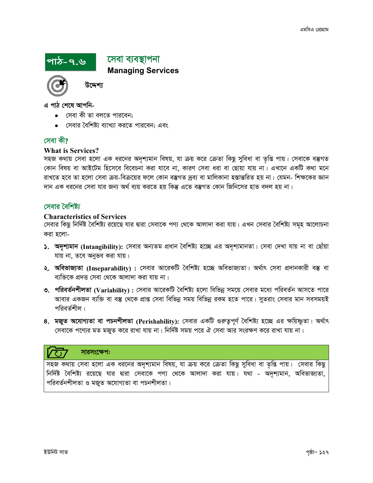# পাঠ-৭.৬

সেবা ব্যবস্থাপনা **Managing Services** 



উদ্দেশ্য

এ পাঠ শেষে আপনি-

- সেবা কী তা বলতে পারবেন;
- সেবার বৈশিষ্ট্য ব্যাখ্যা করতে পারবেন; এবং

# সেবা কী?

#### **What is Services?**

সহজ কথায় সেবা হলো এক ধরনের অদৃশ্যমান বিষয়, যা ক্রয় করে ক্রেতা কিছু সুবিধা বা তৃপ্তি পায়। সেবাকে বস্তুগত কোন বিষয় বা আইটেম হিসেবে বিবেচনা করা যাবে না, কারণ সেবা ধরা বা ছোয়া যায় না। এখানে একটি কথা মনে রাখতে হবে তা হলো সেবা ক্রয়-বিক্রয়ের ফলে কোন বস্তুগত দ্রব্য বা মালিকানা হস্তান্তরিত হয় না। যেমন- শিক্ষকের জ্ঞান দান এক ধরনের সেবা যার জন্য অর্থ ব্যয় করতে হয় কিন্তু এতে বস্তুগত কোন জিনিসের হাত বদল হয় না।

### সেবার বৈশিষ্ট্য

#### **Characteristics of Services**

সেবার কিছু নির্দিষ্ট বৈশিষ্ট্য রয়েছে যার দ্বারা সেবাকে পণ্য থেকে আলাদা করা যায়। এখন সেবার বৈশিষ্ট্য সমূহ আলোচনা করা হলো-

- ১. অদৃশ্যমান (Intangibility): সেবার অন্যতম প্রধান বৈশিষ্ট্য হচ্ছে এর অদৃশ্যমানতা। সেবা দেখা যায় না বা ছোঁয়া যায় না, তবে অনুভব করা যায়।
- **২. অবিভাজ্যতা (Inseparability) :** সেবার আরেকটি বৈশিষ্ট্য হচ্ছে অবিভাজ্যতা। অর্থাৎ সেবা প্রদানকারী বস্তু বা ব্যক্তিকে প্রদত্ত সেবা থেকে আলাদা করা যায় না।
- ৩. পরিবর্তনশীলতা (Variability) : সেবার আরেকটি বৈশিষ্ট্য হলো বিভিন্ন সময়ে সেবার মধ্যে পরিবর্তন আসতে পারে আবার একজন ব্যক্তি বা বস্তু থেকে প্রাপ্ত সেবা বিভিন্ন সময় বিভিন্ন রকম হতে পারে। সুতরাং সেবার মান সবসময়ই পরিবর্তশীল।
- ৪. মজুত অযোগ্যতা বা পচনশীলতা (Perishability): সেবার একটি গুরুত্বপূর্ণ বৈশিষ্ট্য হচ্ছে এর ক্ষয়িস্কুতা। অর্থাৎ সেবাকে পণ্যের মত মজুত করে রাখা যায় না। নির্দিষ্ট সময় পরে ঐ সেবা আর সংরক্ষণ করে রাখা যায় না।

#### সারসংক্ষেপ:

সহজ কথায় সেবা হলো এক ধরনের অদৃশ্যমান বিষয়, যা ক্রয় করে ক্রেতা কিছু সুবিধা বা তৃপ্তি পায়। সেবার কিছু নির্দিষ্ট বৈশিষ্ট্য রয়েছে যার দ্বারা সেবাকে পণ্য থেকে আলাদা করা যায়। যথা - অদৃশ্যমান, অবিভাজ্যতা, পরিবর্তনশীলতা ও মজুত অযোগ্যতা বা পচনশীলতা।